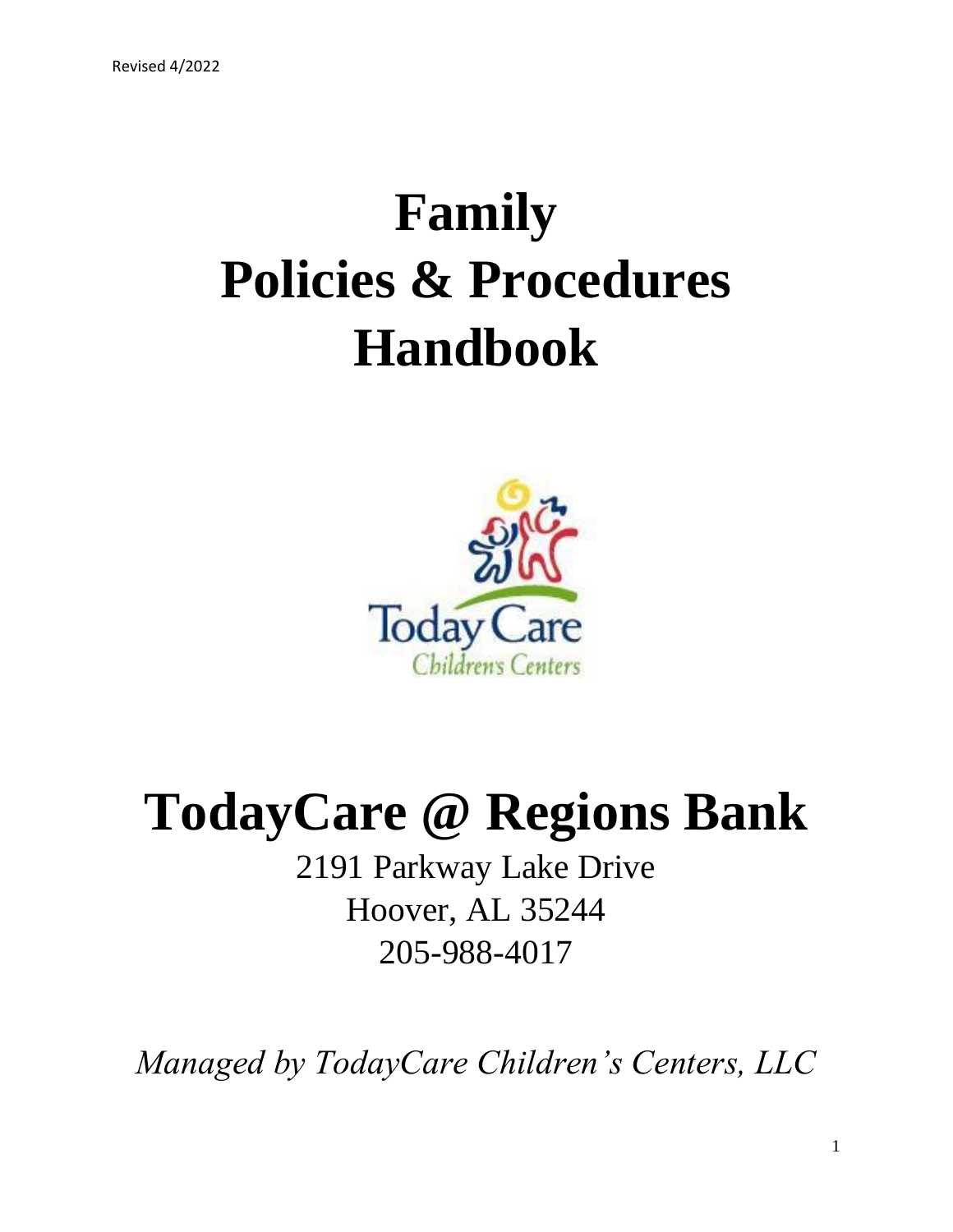# **Family Policies & Procedures Handbook**



## **TodayCare @ Regions Bank**

2191 Parkway Lake Drive Hoover, AL 35244 205-988-4017

*Managed by TodayCare Children's Centers, LLC*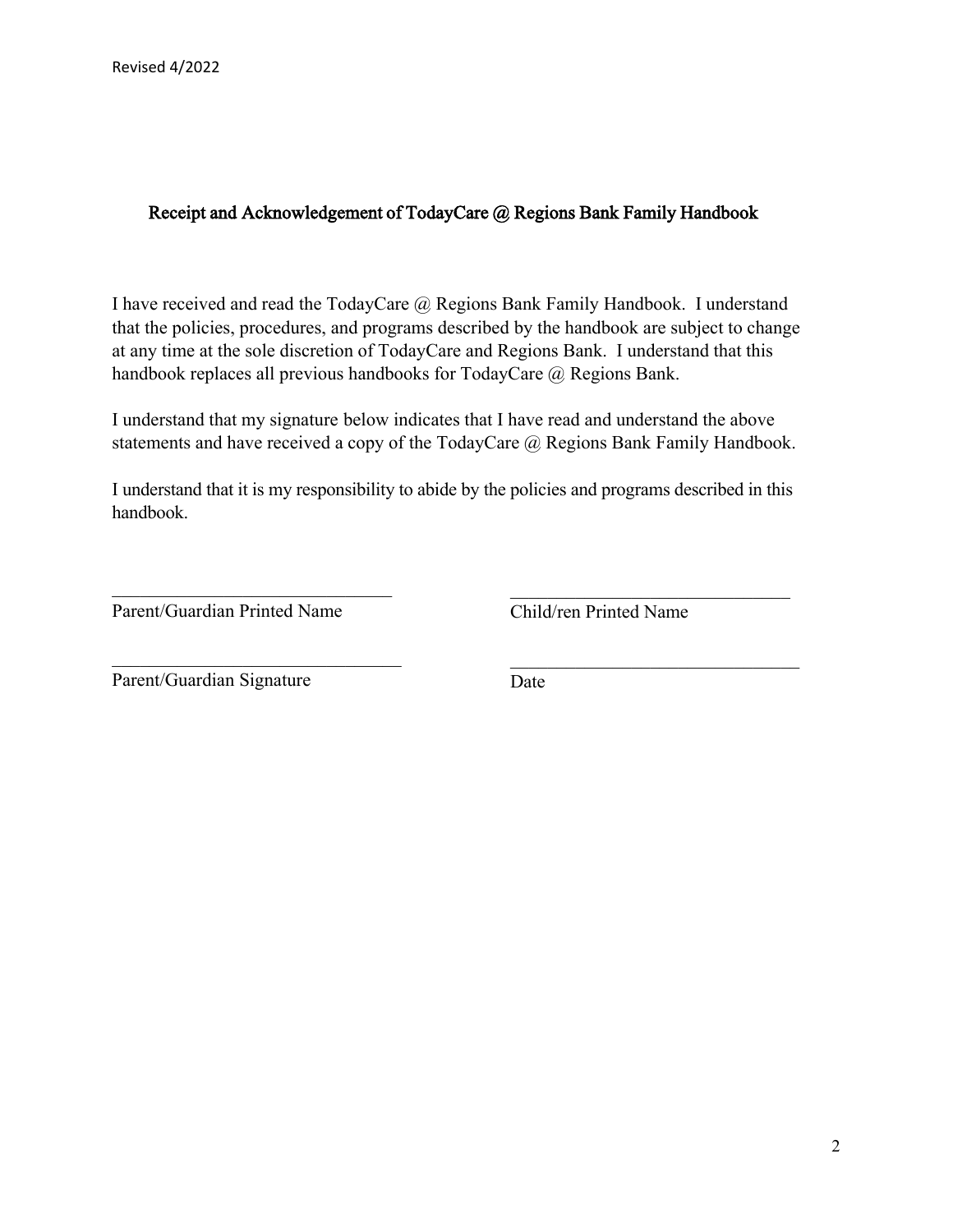#### Receipt and Acknowledgement of TodayCare @ Regions Bank Family Handbook

I have received and read the TodayCare @ Regions Bank Family Handbook. I understand that the policies, procedures, and programs described by the handbook are subject to change at any time at the sole discretion of TodayCare and Regions Bank. I understand that this handbook replaces all previous handbooks for TodayCare @ Regions Bank.

I understand that my signature below indicates that I have read and understand the above statements and have received a copy of the TodayCare @ Regions Bank Family Handbook.

I understand that it is my responsibility to abide by the policies and programs described in this handbook.

Parent/Guardian Printed Name

\_\_\_\_\_\_\_\_\_\_\_\_\_\_\_\_\_\_\_\_\_\_\_\_\_\_\_\_\_\_

Child/ren Printed Name

\_\_\_\_\_\_\_\_\_\_\_\_\_\_\_\_\_\_\_\_\_\_\_\_\_\_\_\_\_\_

Parent/Guardian Signature

Date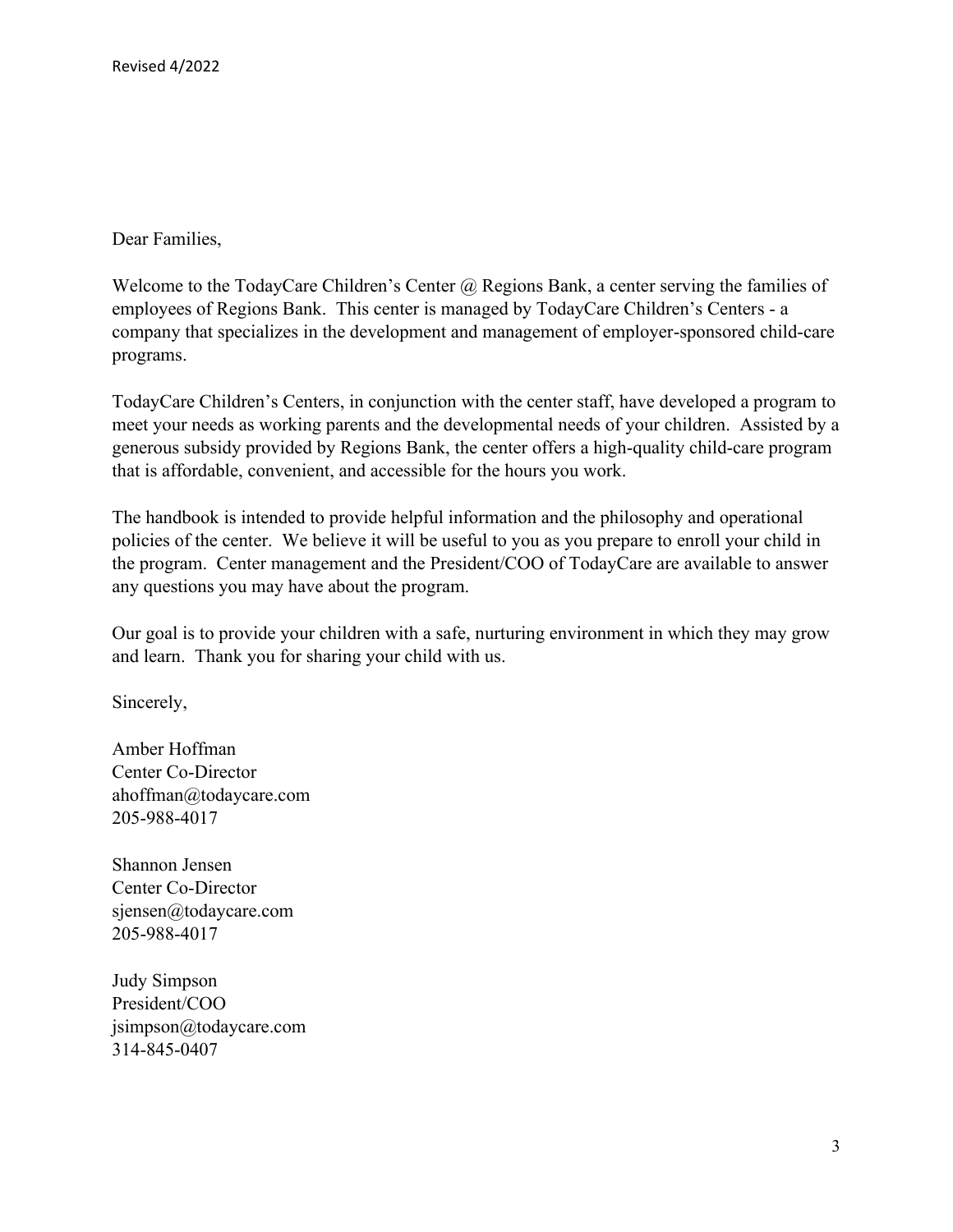Dear Families,

Welcome to the TodayCare Children's Center @ Regions Bank, a center serving the families of employees of Regions Bank. This center is managed by TodayCare Children's Centers - a company that specializes in the development and management of employer-sponsored child-care programs.

TodayCare Children's Centers, in conjunction with the center staff, have developed a program to meet your needs as working parents and the developmental needs of your children. Assisted by a generous subsidy provided by Regions Bank, the center offers a high-quality child-care program that is affordable, convenient, and accessible for the hours you work.

The handbook is intended to provide helpful information and the philosophy and operational policies of the center. We believe it will be useful to you as you prepare to enroll your child in the program. Center management and the President/COO of TodayCare are available to answer any questions you may have about the program.

Our goal is to provide your children with a safe, nurturing environment in which they may grow and learn. Thank you for sharing your child with us.

Sincerely,

Amber Hoffman Center Co-Director ahoffman@todaycare.com 205-988-4017

Shannon Jensen Center Co-Director sjensen@todaycare.com 205-988-4017

Judy Simpson President/COO jsimpson@todaycare.com 314-845-0407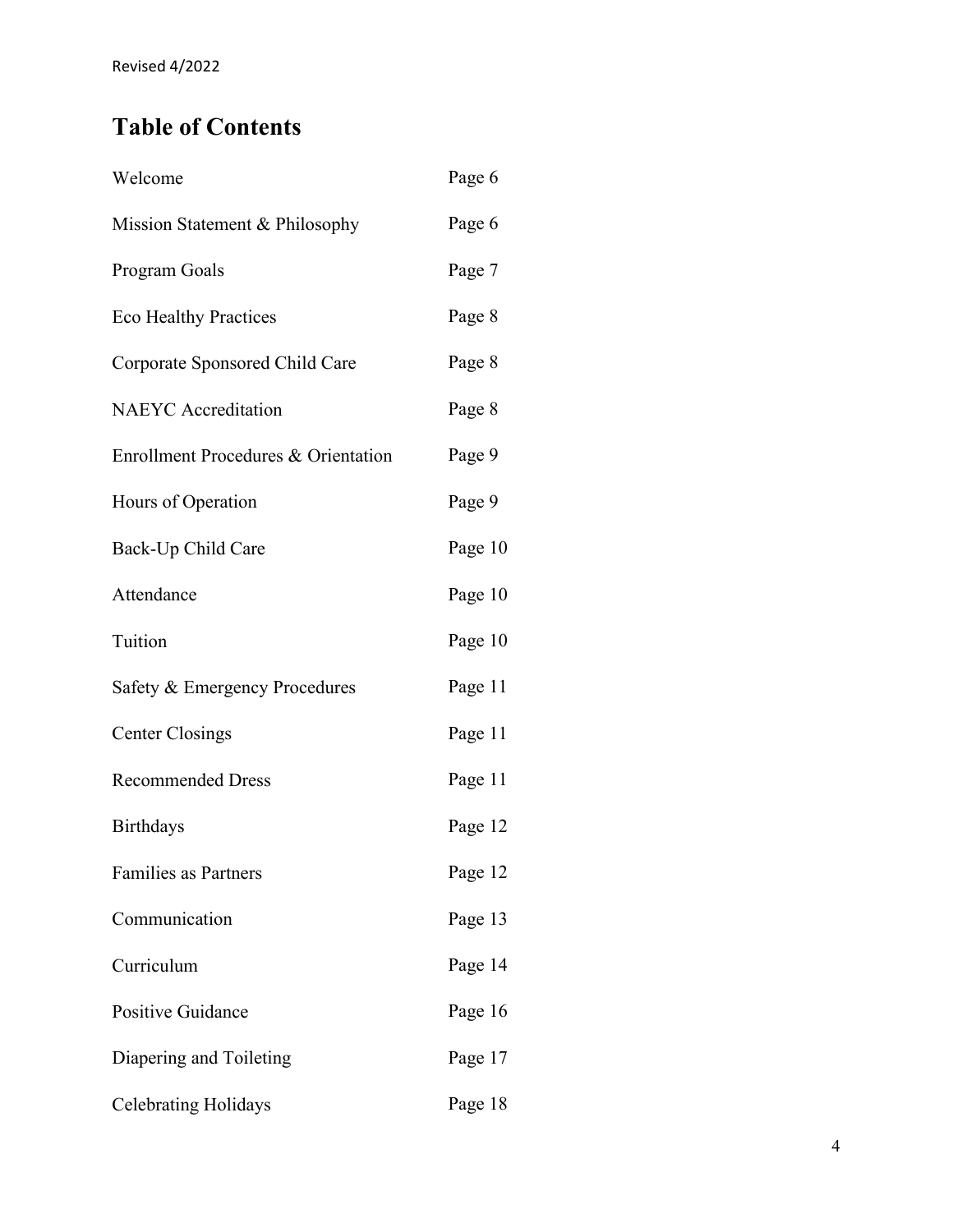### **Table of Contents**

| Welcome                             | Page 6  |
|-------------------------------------|---------|
| Mission Statement & Philosophy      | Page 6  |
| Program Goals                       | Page 7  |
| <b>Eco Healthy Practices</b>        | Page 8  |
| Corporate Sponsored Child Care      | Page 8  |
| <b>NAEYC</b> Accreditation          | Page 8  |
| Enrollment Procedures & Orientation | Page 9  |
| Hours of Operation                  | Page 9  |
| Back-Up Child Care                  | Page 10 |
| Attendance                          | Page 10 |
| Tuition                             | Page 10 |
| Safety & Emergency Procedures       | Page 11 |
| <b>Center Closings</b>              | Page 11 |
| <b>Recommended Dress</b>            | Page 11 |
| <b>Birthdays</b>                    | Page 12 |
| <b>Families as Partners</b>         | Page 12 |
| Communication                       | Page 13 |
| Curriculum                          | Page 14 |
| Positive Guidance                   | Page 16 |
| Diapering and Toileting             | Page 17 |
| <b>Celebrating Holidays</b>         | Page 18 |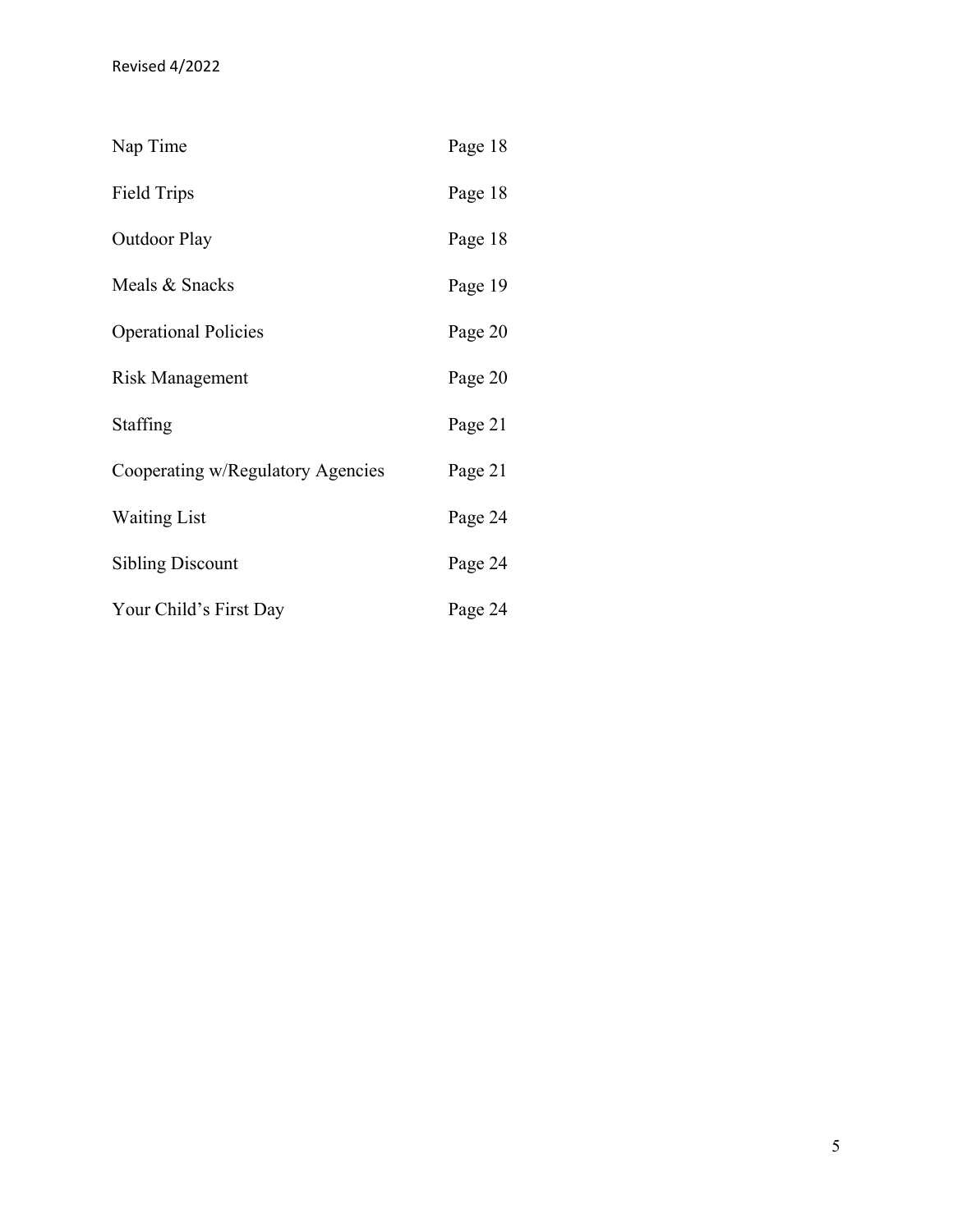| Nap Time                          | Page 18 |
|-----------------------------------|---------|
| Field Trips                       | Page 18 |
| <b>Outdoor Play</b>               | Page 18 |
| Meals & Snacks                    | Page 19 |
| <b>Operational Policies</b>       | Page 20 |
| Risk Management                   | Page 20 |
| Staffing                          | Page 21 |
| Cooperating w/Regulatory Agencies | Page 21 |
| <b>Waiting List</b>               | Page 24 |
| <b>Sibling Discount</b>           | Page 24 |
| Your Child's First Day            | Page 24 |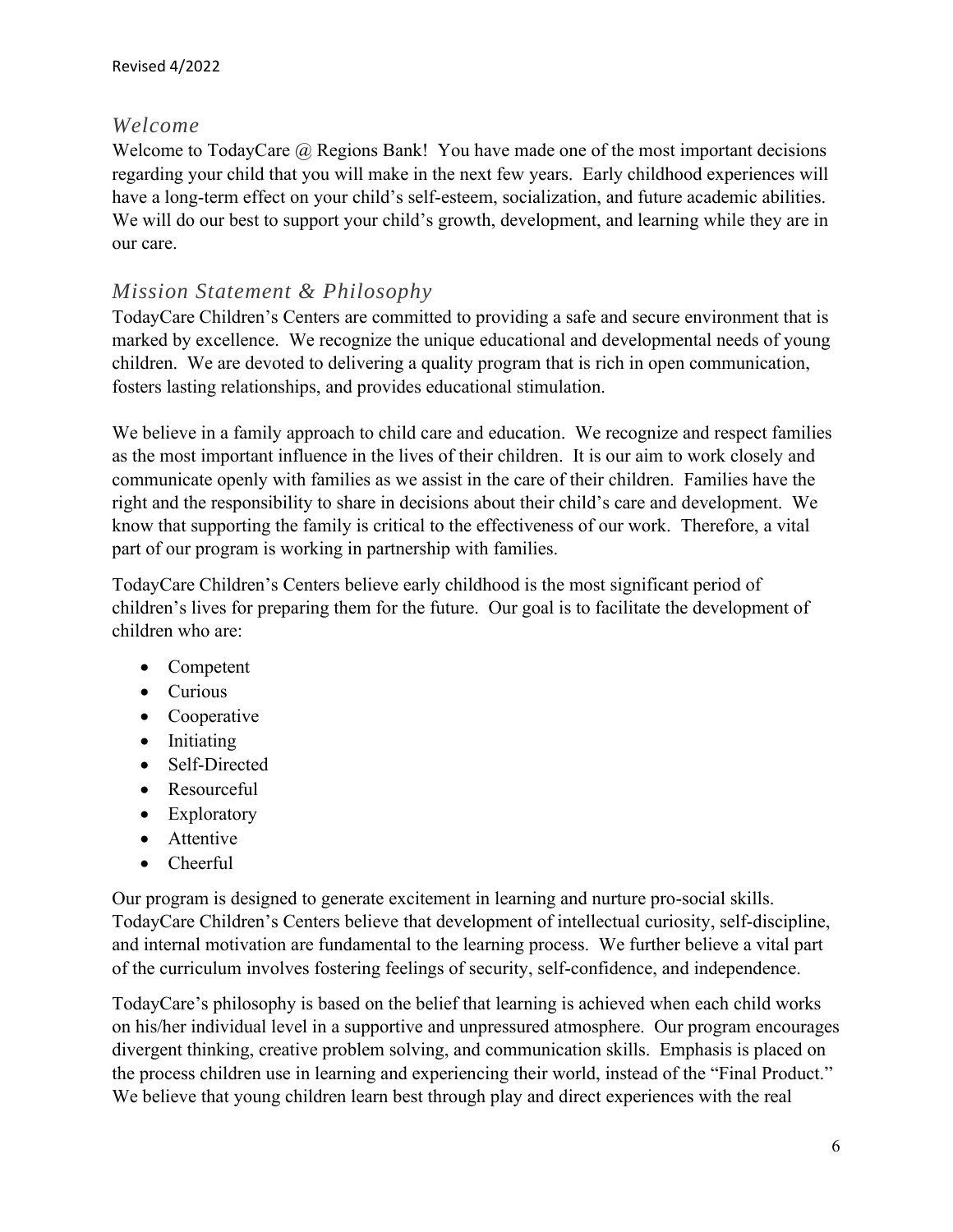#### *Welcome*

Welcome to TodayCare @ Regions Bank! You have made one of the most important decisions regarding your child that you will make in the next few years. Early childhood experiences will have a long-term effect on your child's self-esteem, socialization, and future academic abilities. We will do our best to support your child's growth, development, and learning while they are in our care.

#### *Mission Statement & Philosophy*

TodayCare Children's Centers are committed to providing a safe and secure environment that is marked by excellence. We recognize the unique educational and developmental needs of young children. We are devoted to delivering a quality program that is rich in open communication, fosters lasting relationships, and provides educational stimulation.

We believe in a family approach to child care and education. We recognize and respect families as the most important influence in the lives of their children. It is our aim to work closely and communicate openly with families as we assist in the care of their children. Families have the right and the responsibility to share in decisions about their child's care and development. We know that supporting the family is critical to the effectiveness of our work. Therefore, a vital part of our program is working in partnership with families.

TodayCare Children's Centers believe early childhood is the most significant period of children's lives for preparing them for the future. Our goal is to facilitate the development of children who are:

- Competent
- Curious
- Cooperative
- Initiating
- Self-Directed
- Resourceful
- Exploratory
- Attentive
- Cheerful

Our program is designed to generate excitement in learning and nurture pro-social skills. TodayCare Children's Centers believe that development of intellectual curiosity, self-discipline, and internal motivation are fundamental to the learning process. We further believe a vital part of the curriculum involves fostering feelings of security, self-confidence, and independence.

TodayCare's philosophy is based on the belief that learning is achieved when each child works on his/her individual level in a supportive and unpressured atmosphere. Our program encourages divergent thinking, creative problem solving, and communication skills. Emphasis is placed on the process children use in learning and experiencing their world, instead of the "Final Product." We believe that young children learn best through play and direct experiences with the real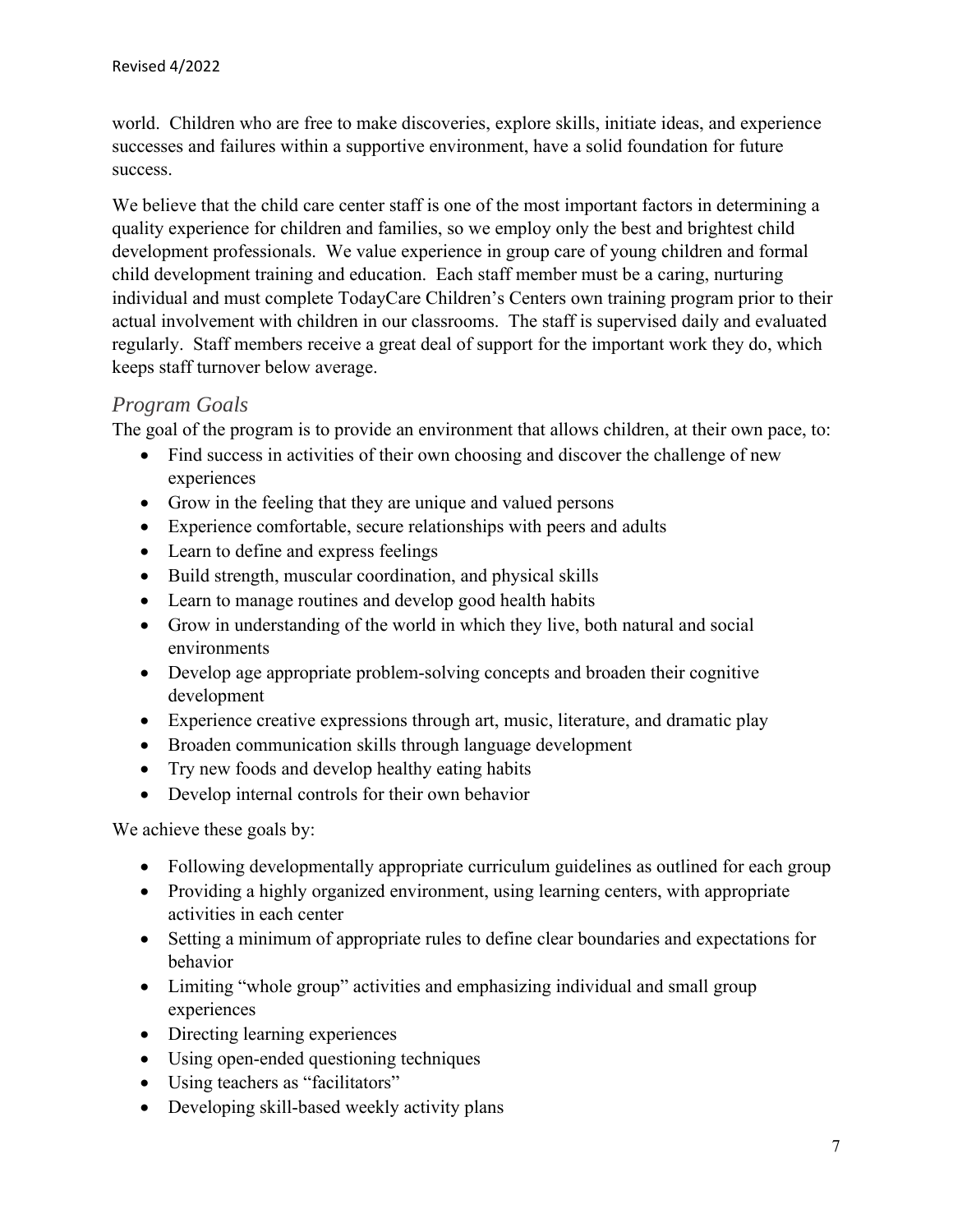world. Children who are free to make discoveries, explore skills, initiate ideas, and experience successes and failures within a supportive environment, have a solid foundation for future success.

We believe that the child care center staff is one of the most important factors in determining a quality experience for children and families, so we employ only the best and brightest child development professionals. We value experience in group care of young children and formal child development training and education. Each staff member must be a caring, nurturing individual and must complete TodayCare Children's Centers own training program prior to their actual involvement with children in our classrooms. The staff is supervised daily and evaluated regularly. Staff members receive a great deal of support for the important work they do, which keeps staff turnover below average.

#### *Program Goals*

The goal of the program is to provide an environment that allows children, at their own pace, to:

- Find success in activities of their own choosing and discover the challenge of new experiences
- Grow in the feeling that they are unique and valued persons
- Experience comfortable, secure relationships with peers and adults
- Learn to define and express feelings
- Build strength, muscular coordination, and physical skills
- Learn to manage routines and develop good health habits
- Grow in understanding of the world in which they live, both natural and social environments
- Develop age appropriate problem-solving concepts and broaden their cognitive development
- Experience creative expressions through art, music, literature, and dramatic play
- Broaden communication skills through language development
- Try new foods and develop healthy eating habits
- Develop internal controls for their own behavior

We achieve these goals by:

- Following developmentally appropriate curriculum guidelines as outlined for each group
- Providing a highly organized environment, using learning centers, with appropriate activities in each center
- Setting a minimum of appropriate rules to define clear boundaries and expectations for behavior
- Limiting "whole group" activities and emphasizing individual and small group experiences
- Directing learning experiences
- Using open-ended questioning techniques
- Using teachers as "facilitators"
- Developing skill-based weekly activity plans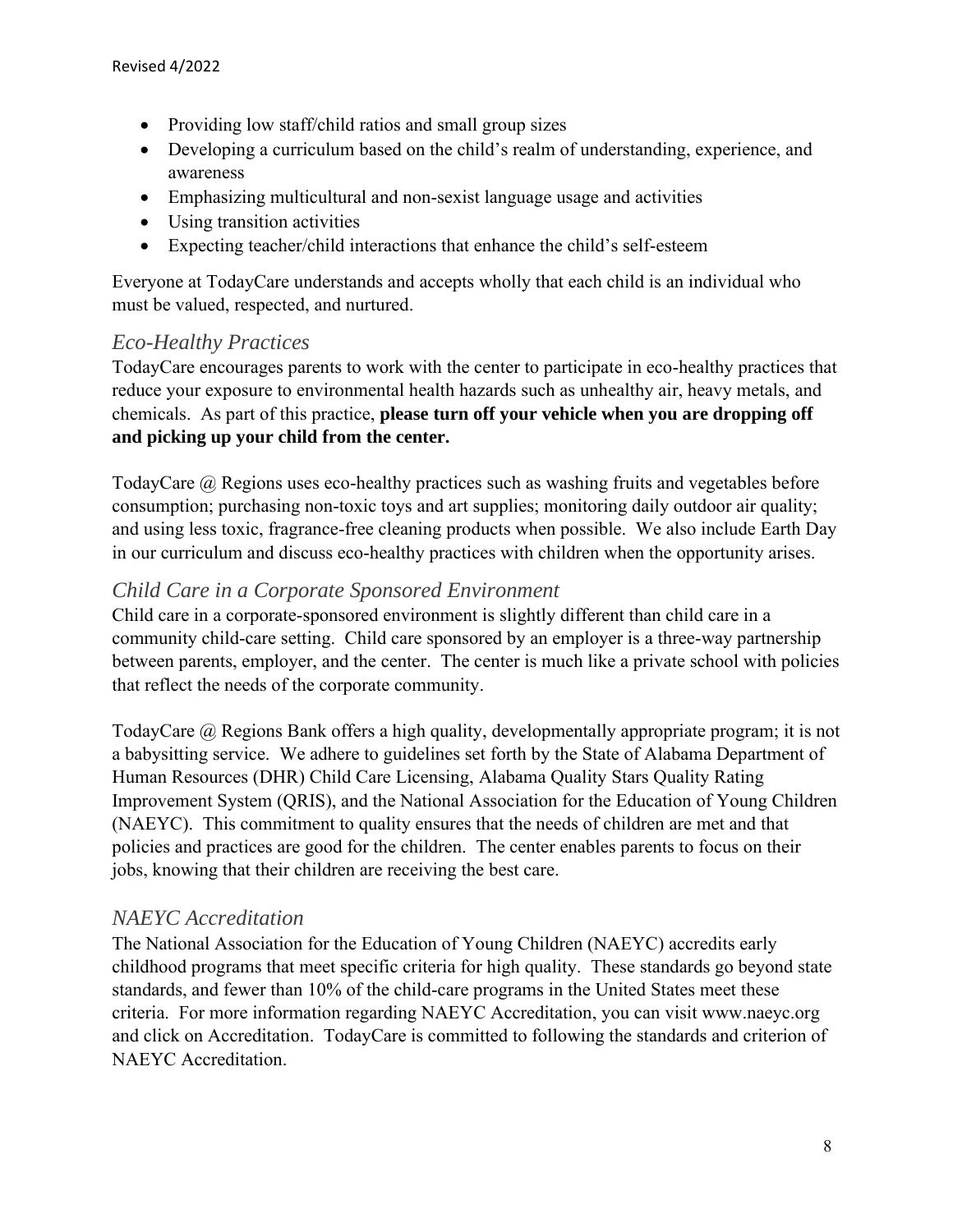- Providing low staff/child ratios and small group sizes
- Developing a curriculum based on the child's realm of understanding, experience, and awareness
- Emphasizing multicultural and non-sexist language usage and activities
- Using transition activities
- Expecting teacher/child interactions that enhance the child's self-esteem

Everyone at TodayCare understands and accepts wholly that each child is an individual who must be valued, respected, and nurtured.

#### *Eco-Healthy Practices*

TodayCare encourages parents to work with the center to participate in eco-healthy practices that reduce your exposure to environmental health hazards such as unhealthy air, heavy metals, and chemicals. As part of this practice, **please turn off your vehicle when you are dropping off and picking up your child from the center.**

TodayCare @ Regions uses eco-healthy practices such as washing fruits and vegetables before consumption; purchasing non-toxic toys and art supplies; monitoring daily outdoor air quality; and using less toxic, fragrance-free cleaning products when possible. We also include Earth Day in our curriculum and discuss eco-healthy practices with children when the opportunity arises.

#### *Child Care in a Corporate Sponsored Environment*

Child care in a corporate-sponsored environment is slightly different than child care in a community child-care setting. Child care sponsored by an employer is a three-way partnership between parents, employer, and the center. The center is much like a private school with policies that reflect the needs of the corporate community.

TodayCare @ Regions Bank offers a high quality, developmentally appropriate program; it is not a babysitting service. We adhere to guidelines set forth by the State of Alabama Department of Human Resources (DHR) Child Care Licensing, Alabama Quality Stars Quality Rating Improvement System (QRIS), and the National Association for the Education of Young Children (NAEYC). This commitment to quality ensures that the needs of children are met and that policies and practices are good for the children. The center enables parents to focus on their jobs, knowing that their children are receiving the best care.

#### *NAEYC Accreditation*

The National Association for the Education of Young Children (NAEYC) accredits early childhood programs that meet specific criteria for high quality. These standards go beyond state standards, and fewer than 10% of the child-care programs in the United States meet these criteria. For more information regarding NAEYC Accreditation, you can visit www.naeyc.org and click on Accreditation. TodayCare is committed to following the standards and criterion of NAEYC Accreditation.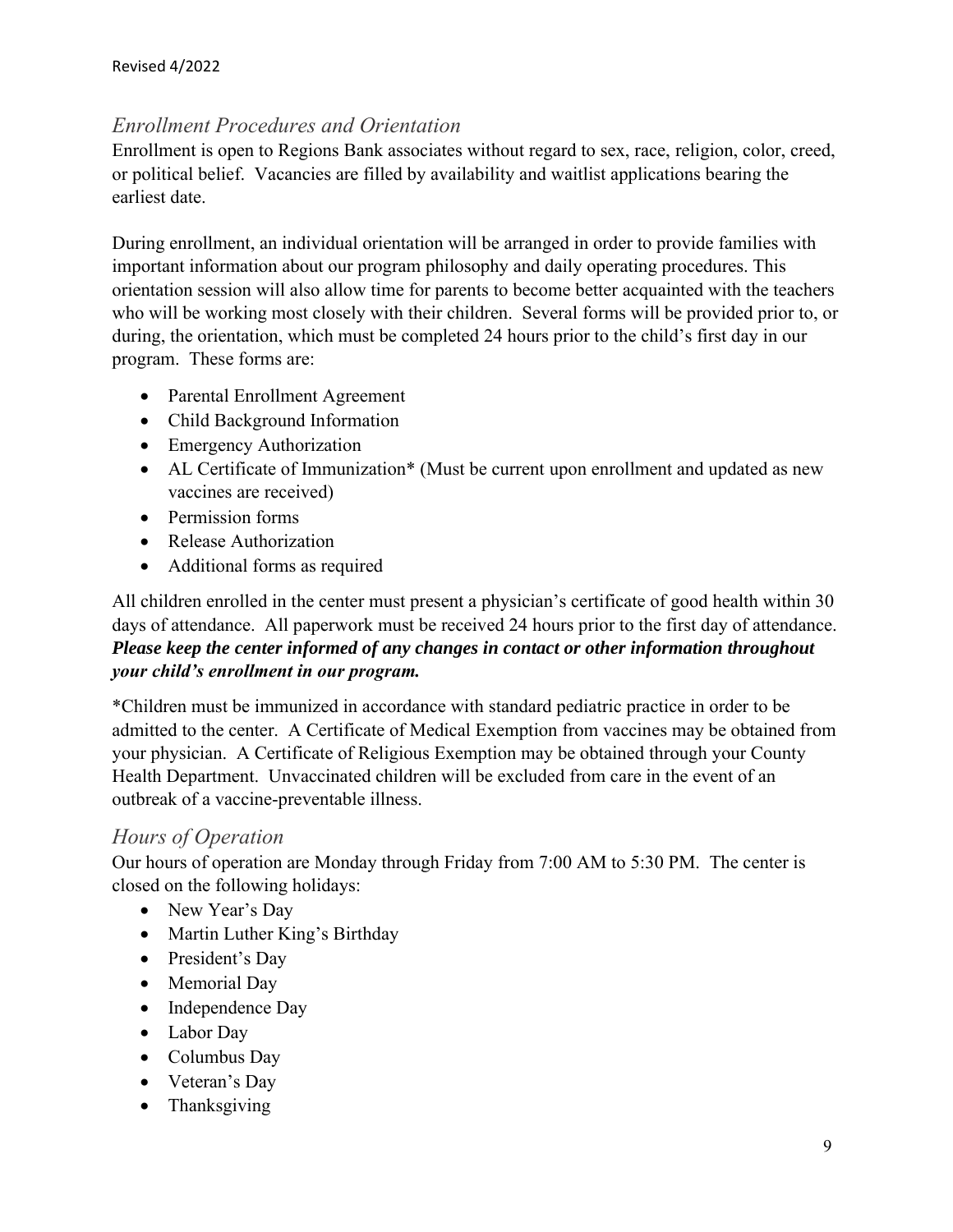#### *Enrollment Procedures and Orientation*

Enrollment is open to Regions Bank associates without regard to sex, race, religion, color, creed, or political belief. Vacancies are filled by availability and waitlist applications bearing the earliest date.

During enrollment, an individual orientation will be arranged in order to provide families with important information about our program philosophy and daily operating procedures. This orientation session will also allow time for parents to become better acquainted with the teachers who will be working most closely with their children. Several forms will be provided prior to, or during, the orientation, which must be completed 24 hours prior to the child's first day in our program. These forms are:

- Parental Enrollment Agreement
- Child Background Information
- Emergency Authorization
- AL Certificate of Immunization\* (Must be current upon enrollment and updated as new vaccines are received)
- Permission forms
- Release Authorization
- Additional forms as required

All children enrolled in the center must present a physician's certificate of good health within 30 days of attendance. All paperwork must be received 24 hours prior to the first day of attendance. *Please keep the center informed of any changes in contact or other information throughout your child's enrollment in our program.*

\*Children must be immunized in accordance with standard pediatric practice in order to be admitted to the center. A Certificate of Medical Exemption from vaccines may be obtained from your physician. A Certificate of Religious Exemption may be obtained through your County Health Department. Unvaccinated children will be excluded from care in the event of an outbreak of a vaccine-preventable illness.

#### *Hours of Operation*

Our hours of operation are Monday through Friday from 7:00 AM to 5:30 PM. The center is closed on the following holidays:

- New Year's Day
- Martin Luther King's Birthday
- President's Day
- Memorial Day
- Independence Day
- Labor Day
- Columbus Day
- Veteran's Day
- Thanksgiving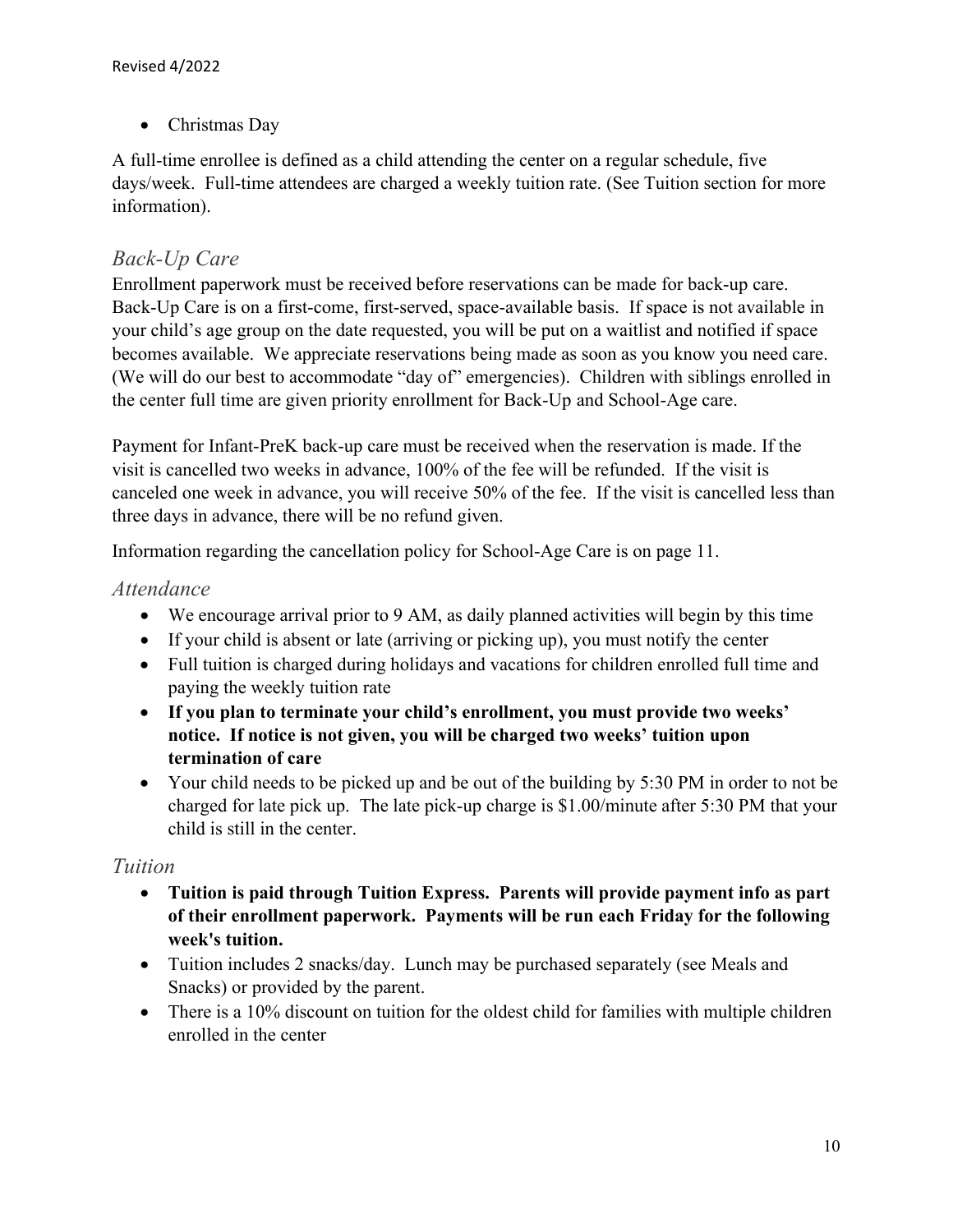• Christmas Day

A full-time enrollee is defined as a child attending the center on a regular schedule, five days/week. Full-time attendees are charged a weekly tuition rate. (See Tuition section for more information).

#### *Back-Up Care*

Enrollment paperwork must be received before reservations can be made for back-up care. Back-Up Care is on a first-come, first-served, space-available basis. If space is not available in your child's age group on the date requested, you will be put on a waitlist and notified if space becomes available. We appreciate reservations being made as soon as you know you need care. (We will do our best to accommodate "day of" emergencies). Children with siblings enrolled in the center full time are given priority enrollment for Back-Up and School-Age care.

Payment for Infant-PreK back-up care must be received when the reservation is made. If the visit is cancelled two weeks in advance, 100% of the fee will be refunded. If the visit is canceled one week in advance, you will receive 50% of the fee. If the visit is cancelled less than three days in advance, there will be no refund given.

Information regarding the cancellation policy for School-Age Care is on page 11.

#### *Attendance*

- We encourage arrival prior to 9 AM, as daily planned activities will begin by this time
- If your child is absent or late (arriving or picking up), you must notify the center
- Full tuition is charged during holidays and vacations for children enrolled full time and paying the weekly tuition rate
- **If you plan to terminate your child's enrollment, you must provide two weeks' notice. If notice is not given, you will be charged two weeks' tuition upon termination of care**
- Your child needs to be picked up and be out of the building by 5:30 PM in order to not be charged for late pick up. The late pick-up charge is \$1.00/minute after 5:30 PM that your child is still in the center.

#### *Tuition*

- **Tuition is paid through Tuition Express. Parents will provide payment info as part of their enrollment paperwork. Payments will be run each Friday for the following week's tuition.**
- Tuition includes 2 snacks/day. Lunch may be purchased separately (see Meals and Snacks) or provided by the parent.
- There is a 10% discount on tuition for the oldest child for families with multiple children enrolled in the center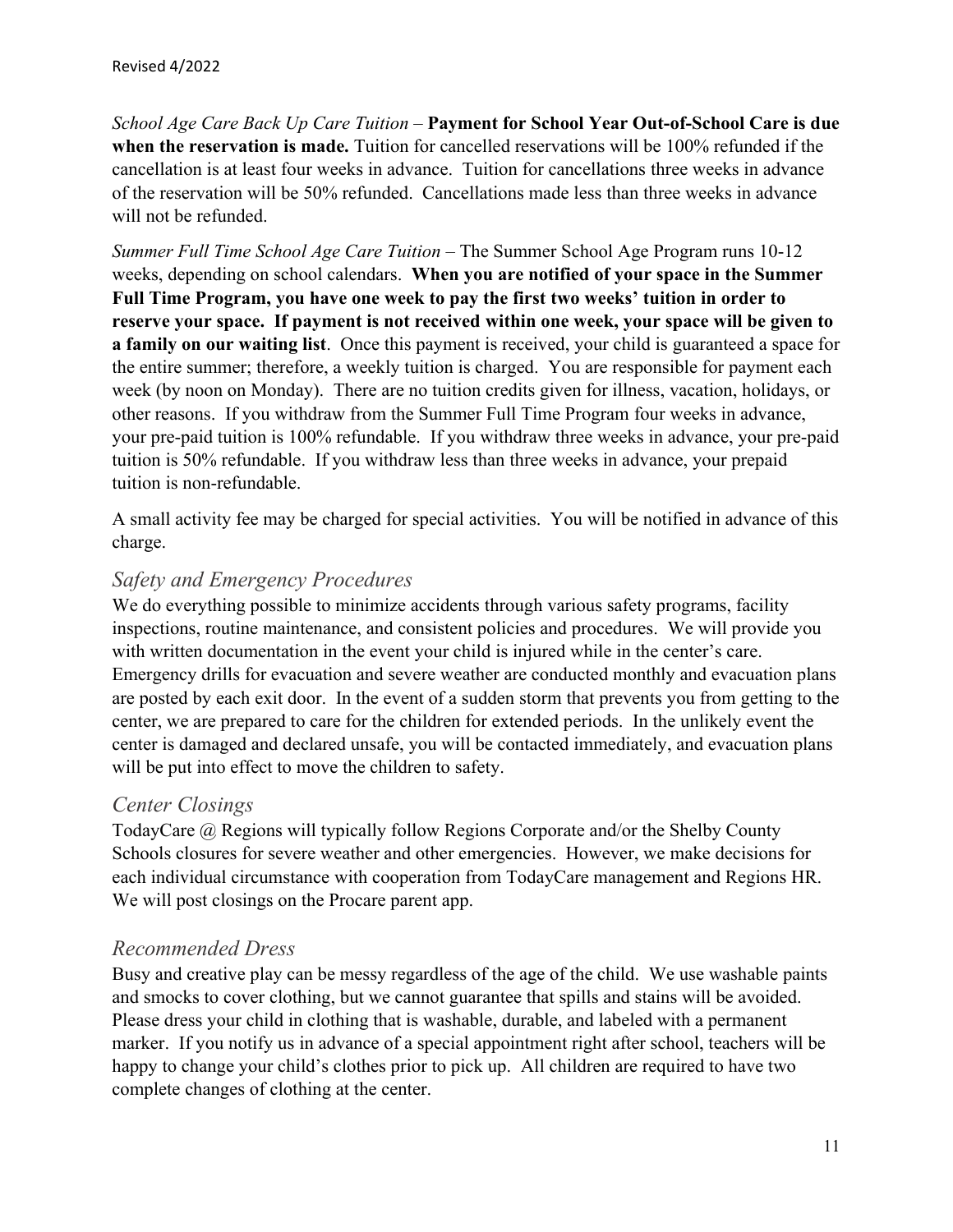*School Age Care Back Up Care Tuition* – **Payment for School Year Out-of-School Care is due when the reservation is made.** Tuition for cancelled reservations will be 100% refunded if the cancellation is at least four weeks in advance. Tuition for cancellations three weeks in advance of the reservation will be 50% refunded. Cancellations made less than three weeks in advance will not be refunded.

*Summer Full Time School Age Care Tuition* – The Summer School Age Program runs 10-12 weeks, depending on school calendars. **When you are notified of your space in the Summer Full Time Program, you have one week to pay the first two weeks' tuition in order to reserve your space. If payment is not received within one week, your space will be given to a family on our waiting list**. Once this payment is received, your child is guaranteed a space for the entire summer; therefore, a weekly tuition is charged. You are responsible for payment each week (by noon on Monday). There are no tuition credits given for illness, vacation, holidays, or other reasons. If you withdraw from the Summer Full Time Program four weeks in advance, your pre-paid tuition is 100% refundable. If you withdraw three weeks in advance, your pre-paid tuition is 50% refundable. If you withdraw less than three weeks in advance, your prepaid tuition is non-refundable.

A small activity fee may be charged for special activities. You will be notified in advance of this charge.

#### *Safety and Emergency Procedures*

We do everything possible to minimize accidents through various safety programs, facility inspections, routine maintenance, and consistent policies and procedures. We will provide you with written documentation in the event your child is injured while in the center's care. Emergency drills for evacuation and severe weather are conducted monthly and evacuation plans are posted by each exit door. In the event of a sudden storm that prevents you from getting to the center, we are prepared to care for the children for extended periods. In the unlikely event the center is damaged and declared unsafe, you will be contacted immediately, and evacuation plans will be put into effect to move the children to safety.

#### *Center Closings*

TodayCare @ Regions will typically follow Regions Corporate and/or the Shelby County Schools closures for severe weather and other emergencies. However, we make decisions for each individual circumstance with cooperation from TodayCare management and Regions HR. We will post closings on the Procare parent app.

#### *Recommended Dress*

Busy and creative play can be messy regardless of the age of the child. We use washable paints and smocks to cover clothing, but we cannot guarantee that spills and stains will be avoided. Please dress your child in clothing that is washable, durable, and labeled with a permanent marker. If you notify us in advance of a special appointment right after school, teachers will be happy to change your child's clothes prior to pick up. All children are required to have two complete changes of clothing at the center.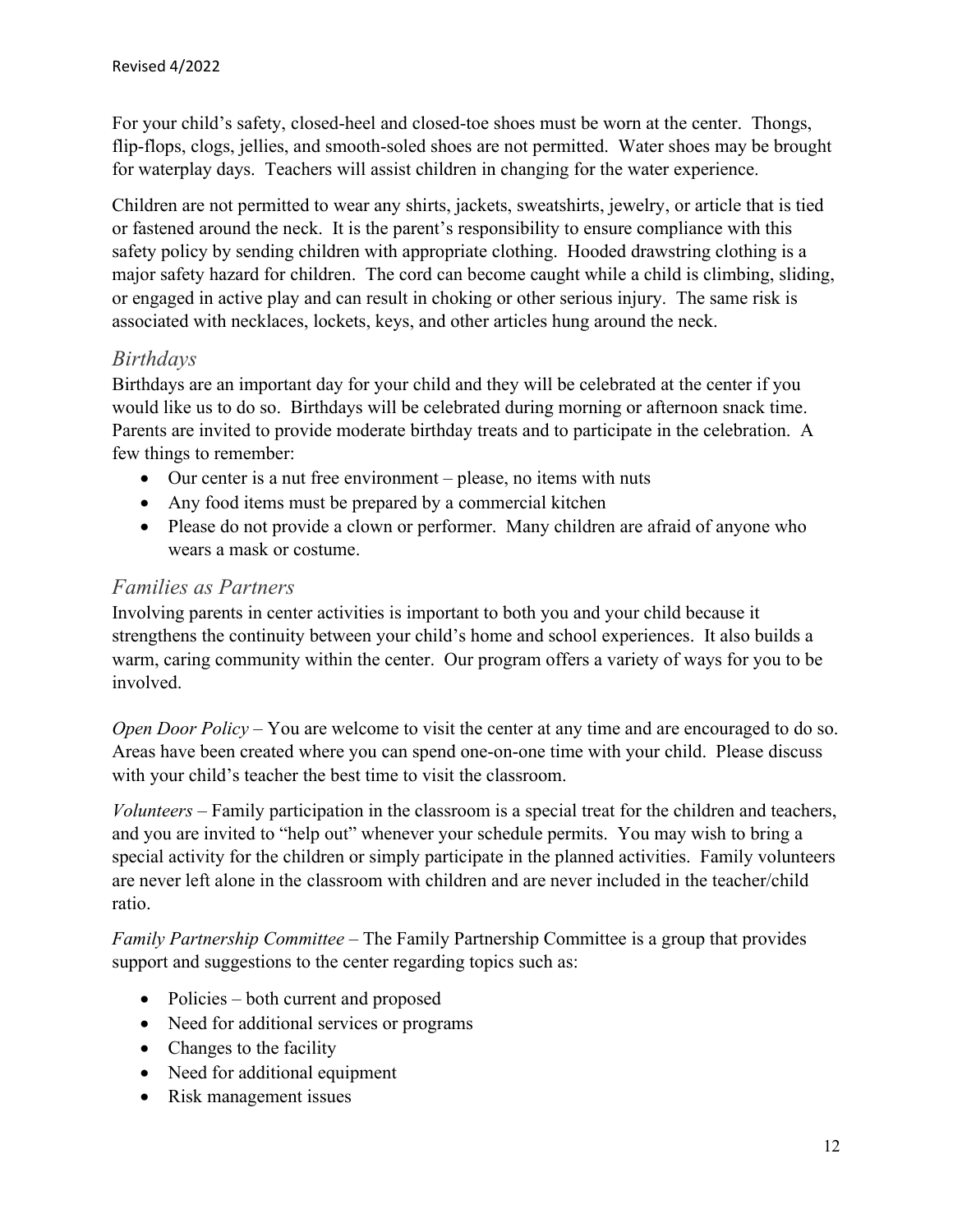For your child's safety, closed-heel and closed-toe shoes must be worn at the center. Thongs, flip-flops, clogs, jellies, and smooth-soled shoes are not permitted. Water shoes may be brought for waterplay days. Teachers will assist children in changing for the water experience.

Children are not permitted to wear any shirts, jackets, sweatshirts, jewelry, or article that is tied or fastened around the neck. It is the parent's responsibility to ensure compliance with this safety policy by sending children with appropriate clothing. Hooded drawstring clothing is a major safety hazard for children. The cord can become caught while a child is climbing, sliding, or engaged in active play and can result in choking or other serious injury. The same risk is associated with necklaces, lockets, keys, and other articles hung around the neck.

#### *Birthdays*

Birthdays are an important day for your child and they will be celebrated at the center if you would like us to do so. Birthdays will be celebrated during morning or afternoon snack time. Parents are invited to provide moderate birthday treats and to participate in the celebration. A few things to remember:

- Our center is a nut free environment please, no items with nuts
- Any food items must be prepared by a commercial kitchen
- Please do not provide a clown or performer. Many children are afraid of anyone who wears a mask or costume.

#### *Families as Partners*

Involving parents in center activities is important to both you and your child because it strengthens the continuity between your child's home and school experiences. It also builds a warm, caring community within the center. Our program offers a variety of ways for you to be involved.

*Open Door Policy* – You are welcome to visit the center at any time and are encouraged to do so. Areas have been created where you can spend one-on-one time with your child. Please discuss with your child's teacher the best time to visit the classroom.

*Volunteers* – Family participation in the classroom is a special treat for the children and teachers, and you are invited to "help out" whenever your schedule permits. You may wish to bring a special activity for the children or simply participate in the planned activities. Family volunteers are never left alone in the classroom with children and are never included in the teacher/child ratio.

*Family Partnership Committee* – The Family Partnership Committee is a group that provides support and suggestions to the center regarding topics such as:

- Policies both current and proposed
- Need for additional services or programs
- Changes to the facility
- Need for additional equipment
- Risk management issues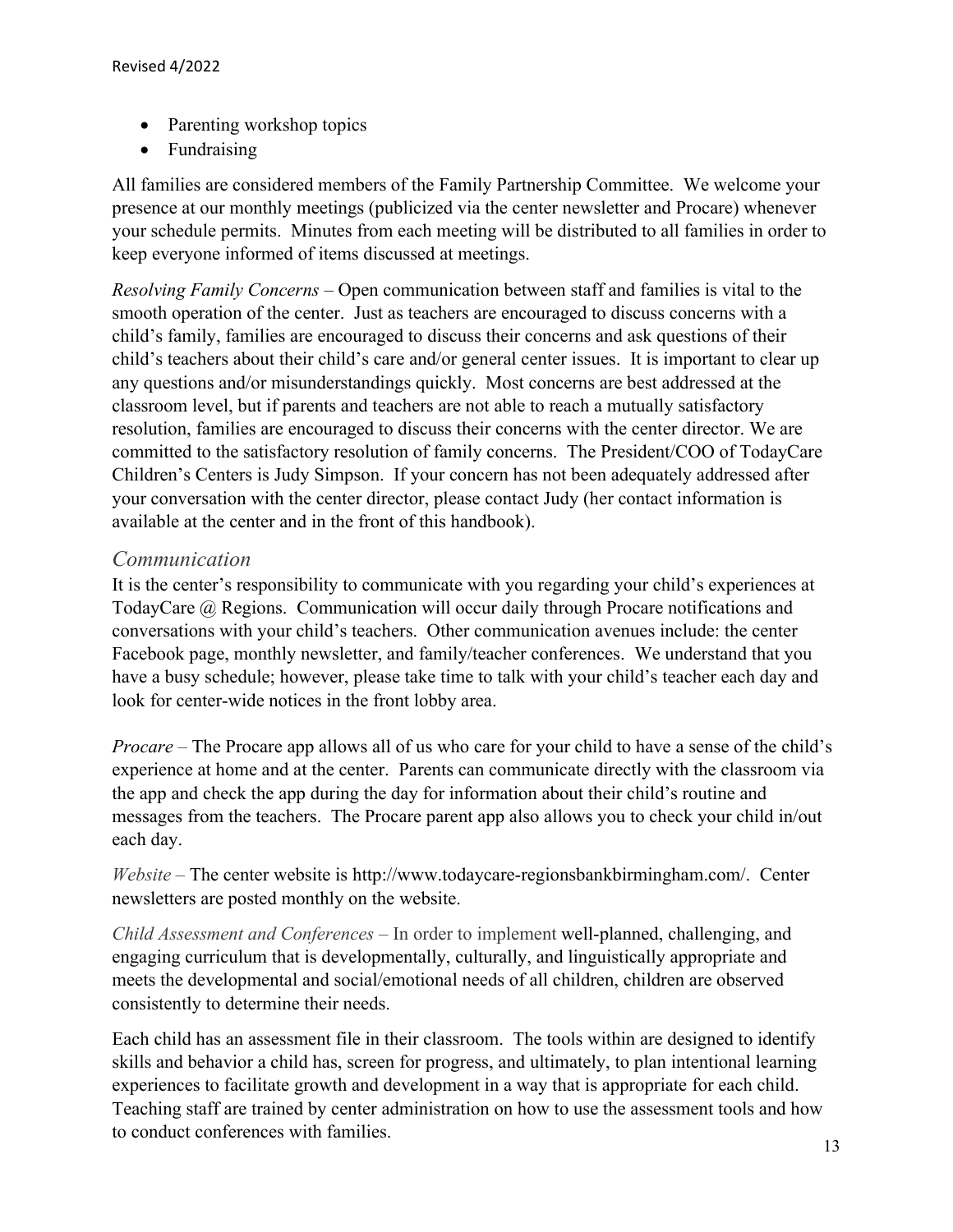- Parenting workshop topics
- Fundraising

All families are considered members of the Family Partnership Committee. We welcome your presence at our monthly meetings (publicized via the center newsletter and Procare) whenever your schedule permits. Minutes from each meeting will be distributed to all families in order to keep everyone informed of items discussed at meetings.

*Resolving Family Concerns* – Open communication between staff and families is vital to the smooth operation of the center. Just as teachers are encouraged to discuss concerns with a child's family, families are encouraged to discuss their concerns and ask questions of their child's teachers about their child's care and/or general center issues. It is important to clear up any questions and/or misunderstandings quickly. Most concerns are best addressed at the classroom level, but if parents and teachers are not able to reach a mutually satisfactory resolution, families are encouraged to discuss their concerns with the center director. We are committed to the satisfactory resolution of family concerns. The President/COO of TodayCare Children's Centers is Judy Simpson. If your concern has not been adequately addressed after your conversation with the center director, please contact Judy (her contact information is available at the center and in the front of this handbook).

#### *Communication*

It is the center's responsibility to communicate with you regarding your child's experiences at TodayCare @ Regions. Communication will occur daily through Procare notifications and conversations with your child's teachers. Other communication avenues include: the center Facebook page, monthly newsletter, and family/teacher conferences. We understand that you have a busy schedule; however, please take time to talk with your child's teacher each day and look for center-wide notices in the front lobby area.

*Procare –* The Procare app allows all of us who care for your child to have a sense of the child's experience at home and at the center. Parents can communicate directly with the classroom via the app and check the app during the day for information about their child's routine and messages from the teachers. The Procare parent app also allows you to check your child in/out each day.

*Website –* The center website is http://www.todaycare-regionsbankbirmingham.com/. Center newsletters are posted monthly on the website.

*Child Assessment and Conferences –* In order to implement well-planned, challenging, and engaging curriculum that is developmentally, culturally, and linguistically appropriate and meets the developmental and social/emotional needs of all children, children are observed consistently to determine their needs.

Each child has an assessment file in their classroom. The tools within are designed to identify skills and behavior a child has, screen for progress, and ultimately, to plan intentional learning experiences to facilitate growth and development in a way that is appropriate for each child. Teaching staff are trained by center administration on how to use the assessment tools and how to conduct conferences with families.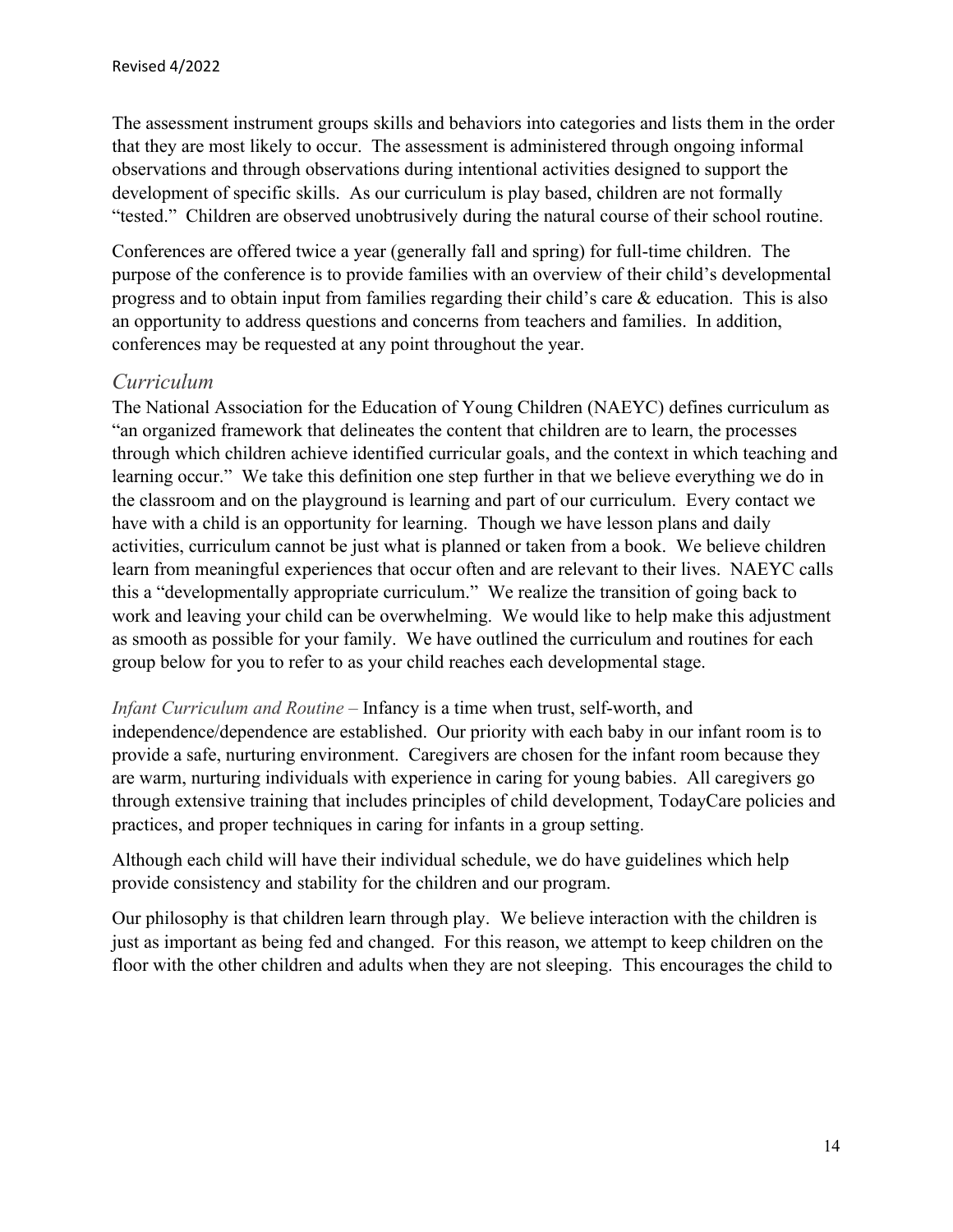The assessment instrument groups skills and behaviors into categories and lists them in the order that they are most likely to occur. The assessment is administered through ongoing informal observations and through observations during intentional activities designed to support the development of specific skills. As our curriculum is play based, children are not formally "tested." Children are observed unobtrusively during the natural course of their school routine.

Conferences are offered twice a year (generally fall and spring) for full-time children. The purpose of the conference is to provide families with an overview of their child's developmental progress and to obtain input from families regarding their child's care & education. This is also an opportunity to address questions and concerns from teachers and families. In addition, conferences may be requested at any point throughout the year.

#### *Curriculum*

The National Association for the Education of Young Children (NAEYC) defines curriculum as "an organized framework that delineates the content that children are to learn, the processes through which children achieve identified curricular goals, and the context in which teaching and learning occur." We take this definition one step further in that we believe everything we do in the classroom and on the playground is learning and part of our curriculum. Every contact we have with a child is an opportunity for learning. Though we have lesson plans and daily activities, curriculum cannot be just what is planned or taken from a book. We believe children learn from meaningful experiences that occur often and are relevant to their lives. NAEYC calls this a "developmentally appropriate curriculum." We realize the transition of going back to work and leaving your child can be overwhelming. We would like to help make this adjustment as smooth as possible for your family. We have outlined the curriculum and routines for each group below for you to refer to as your child reaches each developmental stage.

#### *Infant Curriculum and Routine –* Infancy is a time when trust, self-worth, and

independence/dependence are established. Our priority with each baby in our infant room is to provide a safe, nurturing environment. Caregivers are chosen for the infant room because they are warm, nurturing individuals with experience in caring for young babies. All caregivers go through extensive training that includes principles of child development, TodayCare policies and practices, and proper techniques in caring for infants in a group setting.

Although each child will have their individual schedule, we do have guidelines which help provide consistency and stability for the children and our program.

Our philosophy is that children learn through play. We believe interaction with the children is just as important as being fed and changed. For this reason, we attempt to keep children on the floor with the other children and adults when they are not sleeping. This encourages the child to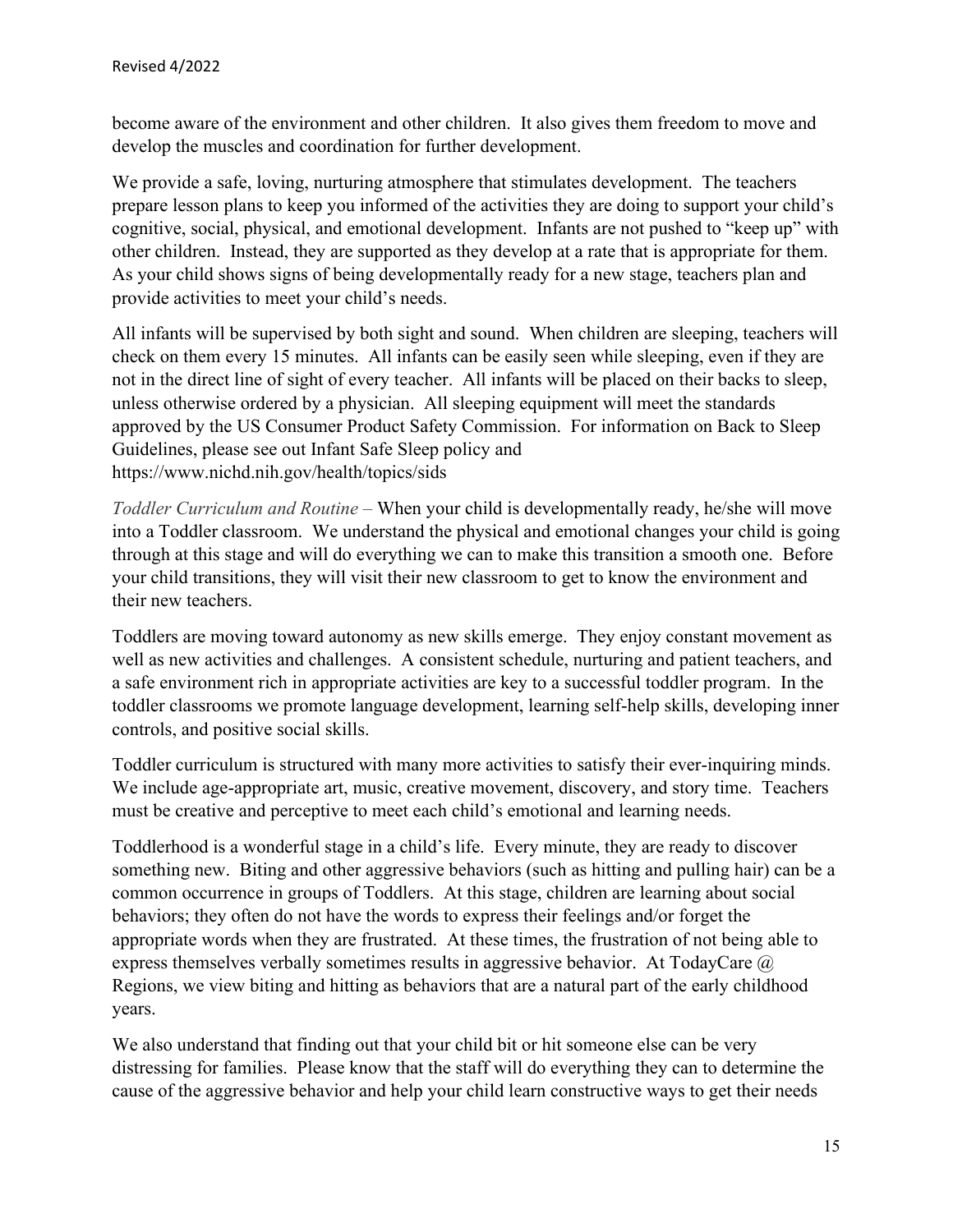become aware of the environment and other children. It also gives them freedom to move and develop the muscles and coordination for further development.

We provide a safe, loving, nurturing atmosphere that stimulates development. The teachers prepare lesson plans to keep you informed of the activities they are doing to support your child's cognitive, social, physical, and emotional development. Infants are not pushed to "keep up" with other children. Instead, they are supported as they develop at a rate that is appropriate for them. As your child shows signs of being developmentally ready for a new stage, teachers plan and provide activities to meet your child's needs.

All infants will be supervised by both sight and sound. When children are sleeping, teachers will check on them every 15 minutes. All infants can be easily seen while sleeping, even if they are not in the direct line of sight of every teacher. All infants will be placed on their backs to sleep, unless otherwise ordered by a physician. All sleeping equipment will meet the standards approved by the US Consumer Product Safety Commission. For information on Back to Sleep Guidelines, please see out Infant Safe Sleep policy and https://www.nichd.nih.gov/health/topics/sids

*Toddler Curriculum and Routine –* When your child is developmentally ready, he/she will move into a Toddler classroom. We understand the physical and emotional changes your child is going through at this stage and will do everything we can to make this transition a smooth one. Before your child transitions, they will visit their new classroom to get to know the environment and their new teachers.

Toddlers are moving toward autonomy as new skills emerge. They enjoy constant movement as well as new activities and challenges. A consistent schedule, nurturing and patient teachers, and a safe environment rich in appropriate activities are key to a successful toddler program. In the toddler classrooms we promote language development, learning self-help skills, developing inner controls, and positive social skills.

Toddler curriculum is structured with many more activities to satisfy their ever-inquiring minds. We include age-appropriate art, music, creative movement, discovery, and story time. Teachers must be creative and perceptive to meet each child's emotional and learning needs.

Toddlerhood is a wonderful stage in a child's life. Every minute, they are ready to discover something new. Biting and other aggressive behaviors (such as hitting and pulling hair) can be a common occurrence in groups of Toddlers. At this stage, children are learning about social behaviors; they often do not have the words to express their feelings and/or forget the appropriate words when they are frustrated. At these times, the frustration of not being able to express themselves verbally sometimes results in aggressive behavior. At TodayCare @ Regions, we view biting and hitting as behaviors that are a natural part of the early childhood years.

We also understand that finding out that your child bit or hit someone else can be very distressing for families. Please know that the staff will do everything they can to determine the cause of the aggressive behavior and help your child learn constructive ways to get their needs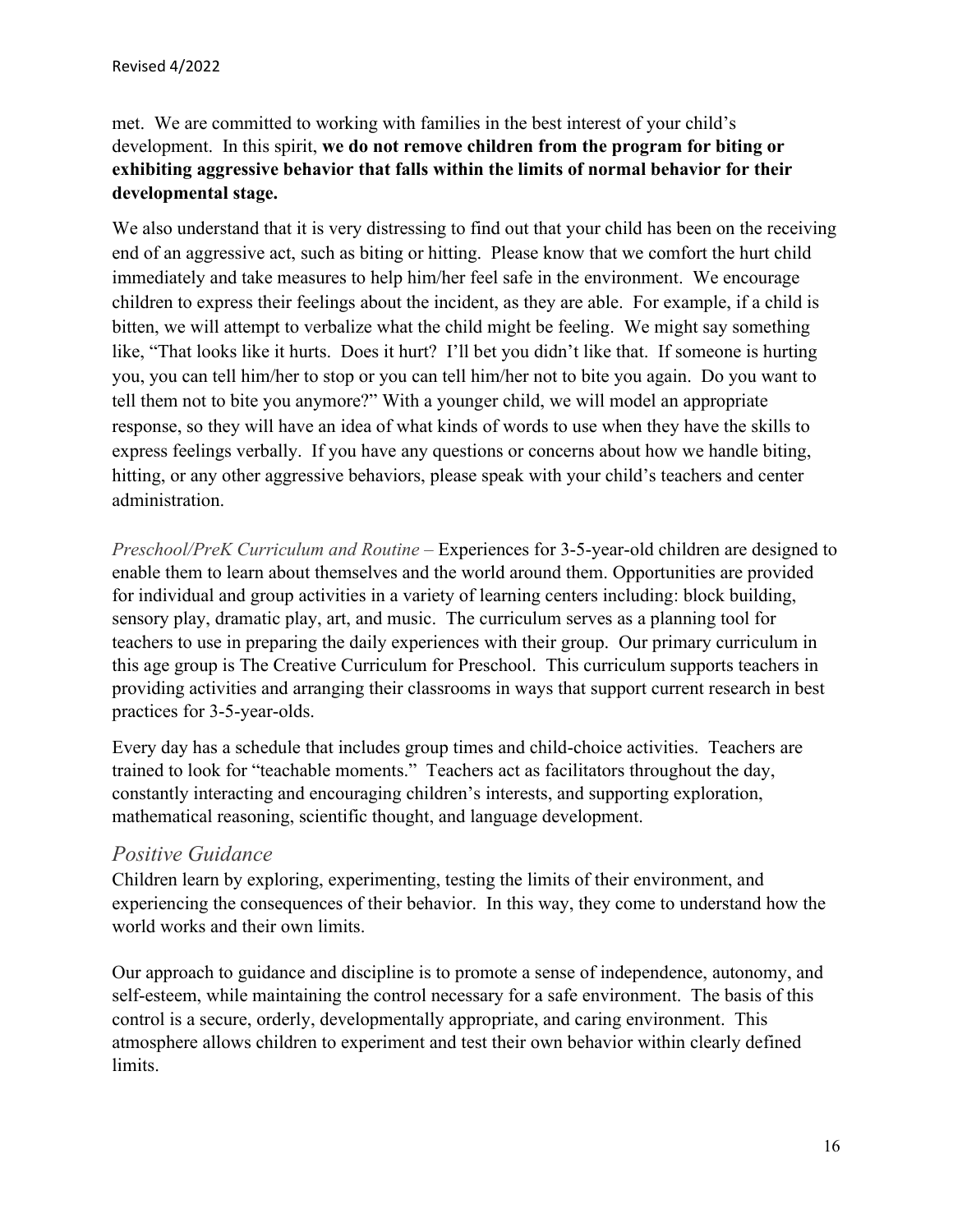met. We are committed to working with families in the best interest of your child's development. In this spirit, **we do not remove children from the program for biting or exhibiting aggressive behavior that falls within the limits of normal behavior for their developmental stage.** 

We also understand that it is very distressing to find out that your child has been on the receiving end of an aggressive act, such as biting or hitting. Please know that we comfort the hurt child immediately and take measures to help him/her feel safe in the environment. We encourage children to express their feelings about the incident, as they are able. For example, if a child is bitten, we will attempt to verbalize what the child might be feeling. We might say something like, "That looks like it hurts. Does it hurt? I'll bet you didn't like that. If someone is hurting you, you can tell him/her to stop or you can tell him/her not to bite you again. Do you want to tell them not to bite you anymore?" With a younger child, we will model an appropriate response, so they will have an idea of what kinds of words to use when they have the skills to express feelings verbally. If you have any questions or concerns about how we handle biting, hitting, or any other aggressive behaviors, please speak with your child's teachers and center administration.

*Preschool/PreK Curriculum and Routine –* Experiences for 3-5-year-old children are designed to enable them to learn about themselves and the world around them. Opportunities are provided for individual and group activities in a variety of learning centers including: block building, sensory play, dramatic play, art, and music. The curriculum serves as a planning tool for teachers to use in preparing the daily experiences with their group. Our primary curriculum in this age group is The Creative Curriculum for Preschool. This curriculum supports teachers in providing activities and arranging their classrooms in ways that support current research in best practices for 3-5-year-olds.

Every day has a schedule that includes group times and child-choice activities. Teachers are trained to look for "teachable moments." Teachers act as facilitators throughout the day, constantly interacting and encouraging children's interests, and supporting exploration, mathematical reasoning, scientific thought, and language development.

#### *Positive Guidance*

Children learn by exploring, experimenting, testing the limits of their environment, and experiencing the consequences of their behavior. In this way, they come to understand how the world works and their own limits.

Our approach to guidance and discipline is to promote a sense of independence, autonomy, and self-esteem, while maintaining the control necessary for a safe environment. The basis of this control is a secure, orderly, developmentally appropriate, and caring environment. This atmosphere allows children to experiment and test their own behavior within clearly defined limits.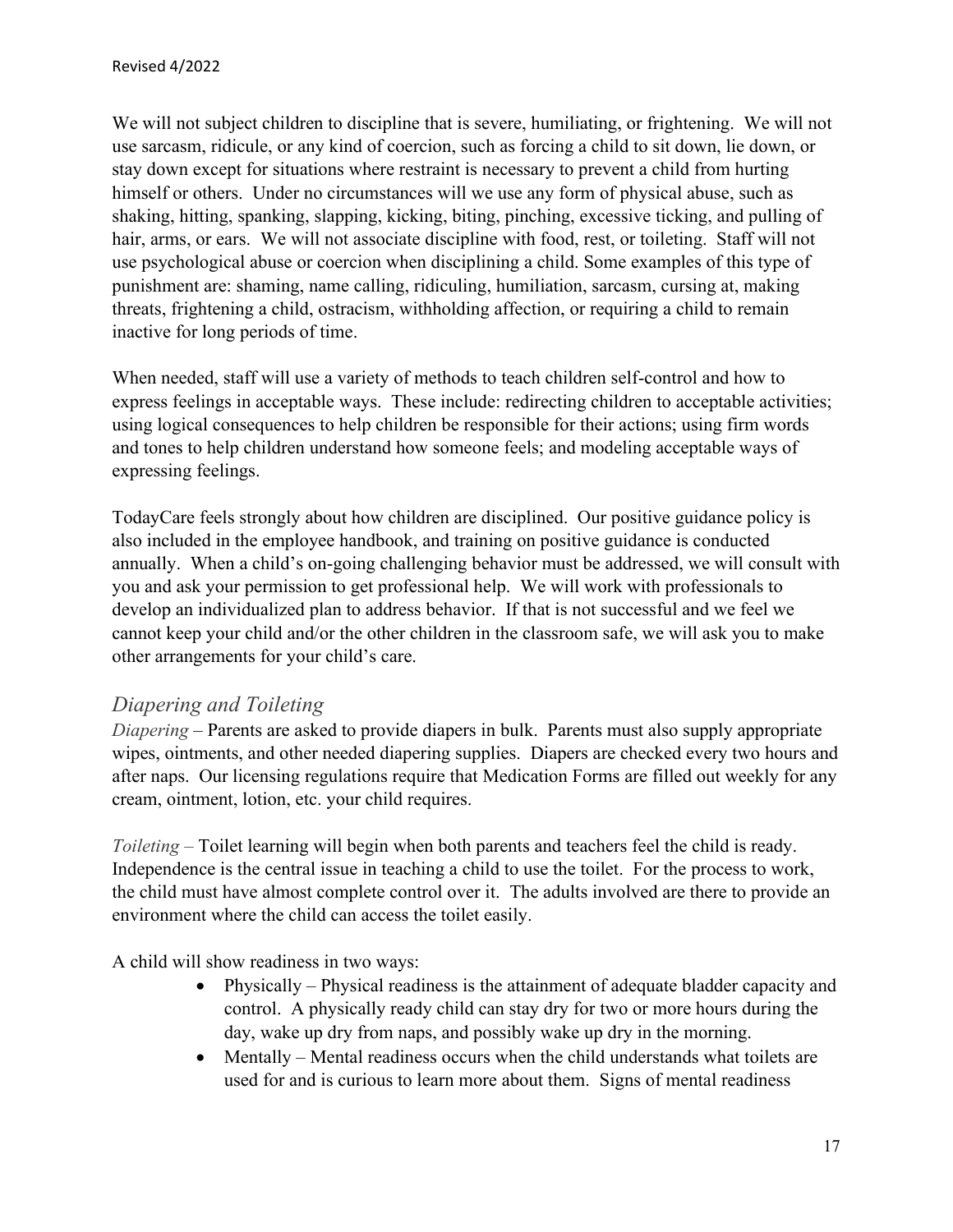We will not subject children to discipline that is severe, humiliating, or frightening. We will not use sarcasm, ridicule, or any kind of coercion, such as forcing a child to sit down, lie down, or stay down except for situations where restraint is necessary to prevent a child from hurting himself or others. Under no circumstances will we use any form of physical abuse, such as shaking, hitting, spanking, slapping, kicking, biting, pinching, excessive ticking, and pulling of hair, arms, or ears. We will not associate discipline with food, rest, or toileting. Staff will not use psychological abuse or coercion when disciplining a child. Some examples of this type of punishment are: shaming, name calling, ridiculing, humiliation, sarcasm, cursing at, making threats, frightening a child, ostracism, withholding affection, or requiring a child to remain inactive for long periods of time.

When needed, staff will use a variety of methods to teach children self-control and how to express feelings in acceptable ways. These include: redirecting children to acceptable activities; using logical consequences to help children be responsible for their actions; using firm words and tones to help children understand how someone feels; and modeling acceptable ways of expressing feelings.

TodayCare feels strongly about how children are disciplined. Our positive guidance policy is also included in the employee handbook, and training on positive guidance is conducted annually. When a child's on-going challenging behavior must be addressed, we will consult with you and ask your permission to get professional help. We will work with professionals to develop an individualized plan to address behavior. If that is not successful and we feel we cannot keep your child and/or the other children in the classroom safe, we will ask you to make other arrangements for your child's care.

#### *Diapering and Toileting*

*Diapering* – Parents are asked to provide diapers in bulk. Parents must also supply appropriate wipes, ointments, and other needed diapering supplies. Diapers are checked every two hours and after naps. Our licensing regulations require that Medication Forms are filled out weekly for any cream, ointment, lotion, etc. your child requires.

*Toileting –* Toilet learning will begin when both parents and teachers feel the child is ready. Independence is the central issue in teaching a child to use the toilet. For the process to work, the child must have almost complete control over it. The adults involved are there to provide an environment where the child can access the toilet easily.

A child will show readiness in two ways:

- Physically Physical readiness is the attainment of adequate bladder capacity and control. A physically ready child can stay dry for two or more hours during the day, wake up dry from naps, and possibly wake up dry in the morning.
- Mentally Mental readiness occurs when the child understands what toilets are used for and is curious to learn more about them. Signs of mental readiness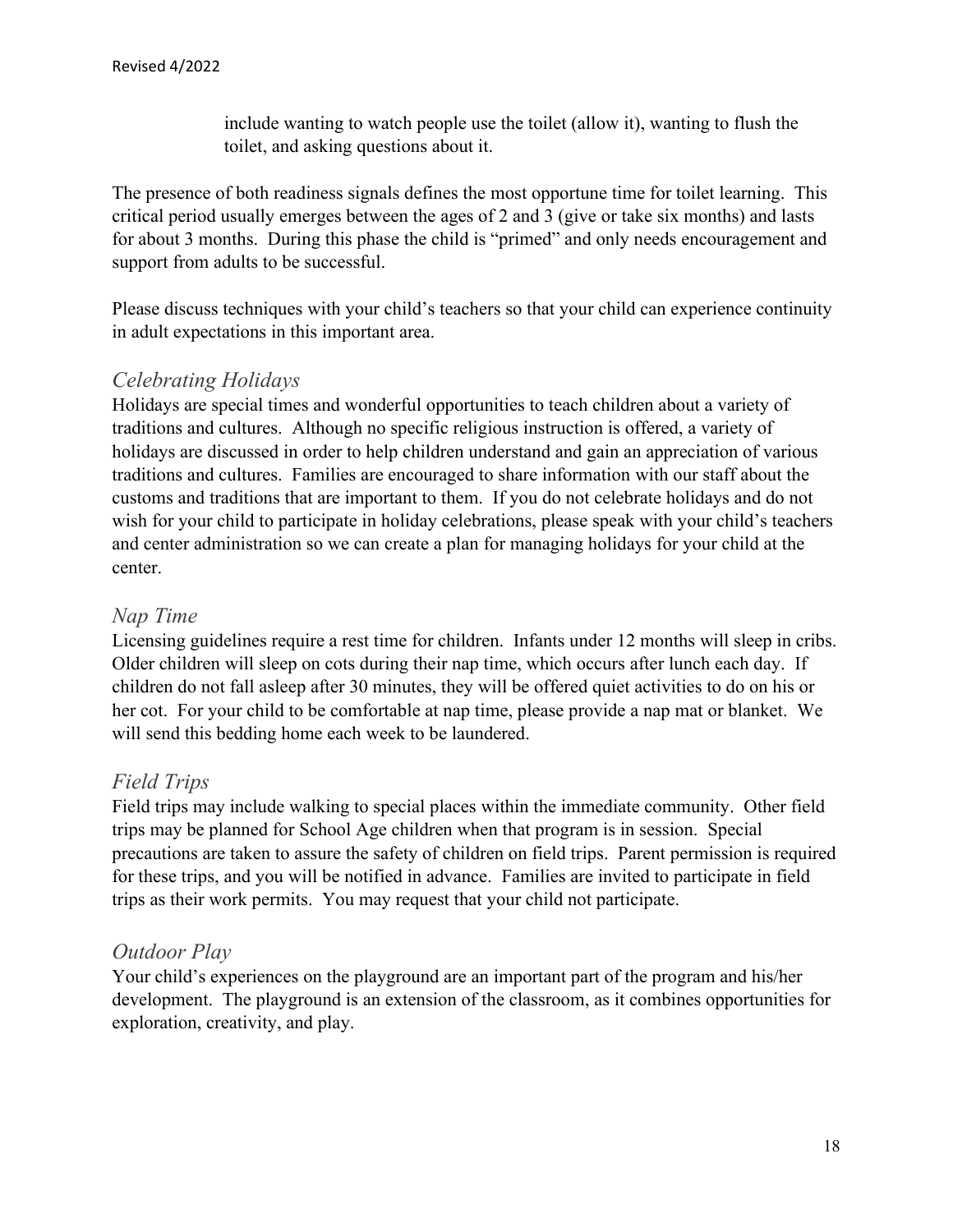include wanting to watch people use the toilet (allow it), wanting to flush the toilet, and asking questions about it.

The presence of both readiness signals defines the most opportune time for toilet learning. This critical period usually emerges between the ages of 2 and 3 (give or take six months) and lasts for about 3 months. During this phase the child is "primed" and only needs encouragement and support from adults to be successful.

Please discuss techniques with your child's teachers so that your child can experience continuity in adult expectations in this important area.

#### *Celebrating Holidays*

Holidays are special times and wonderful opportunities to teach children about a variety of traditions and cultures. Although no specific religious instruction is offered, a variety of holidays are discussed in order to help children understand and gain an appreciation of various traditions and cultures. Families are encouraged to share information with our staff about the customs and traditions that are important to them. If you do not celebrate holidays and do not wish for your child to participate in holiday celebrations, please speak with your child's teachers and center administration so we can create a plan for managing holidays for your child at the center.

#### *Nap Time*

Licensing guidelines require a rest time for children. Infants under 12 months will sleep in cribs. Older children will sleep on cots during their nap time, which occurs after lunch each day. If children do not fall asleep after 30 minutes, they will be offered quiet activities to do on his or her cot. For your child to be comfortable at nap time, please provide a nap mat or blanket. We will send this bedding home each week to be laundered.

#### *Field Trips*

Field trips may include walking to special places within the immediate community. Other field trips may be planned for School Age children when that program is in session. Special precautions are taken to assure the safety of children on field trips. Parent permission is required for these trips, and you will be notified in advance. Families are invited to participate in field trips as their work permits. You may request that your child not participate.

#### *Outdoor Play*

Your child's experiences on the playground are an important part of the program and his/her development. The playground is an extension of the classroom, as it combines opportunities for exploration, creativity, and play.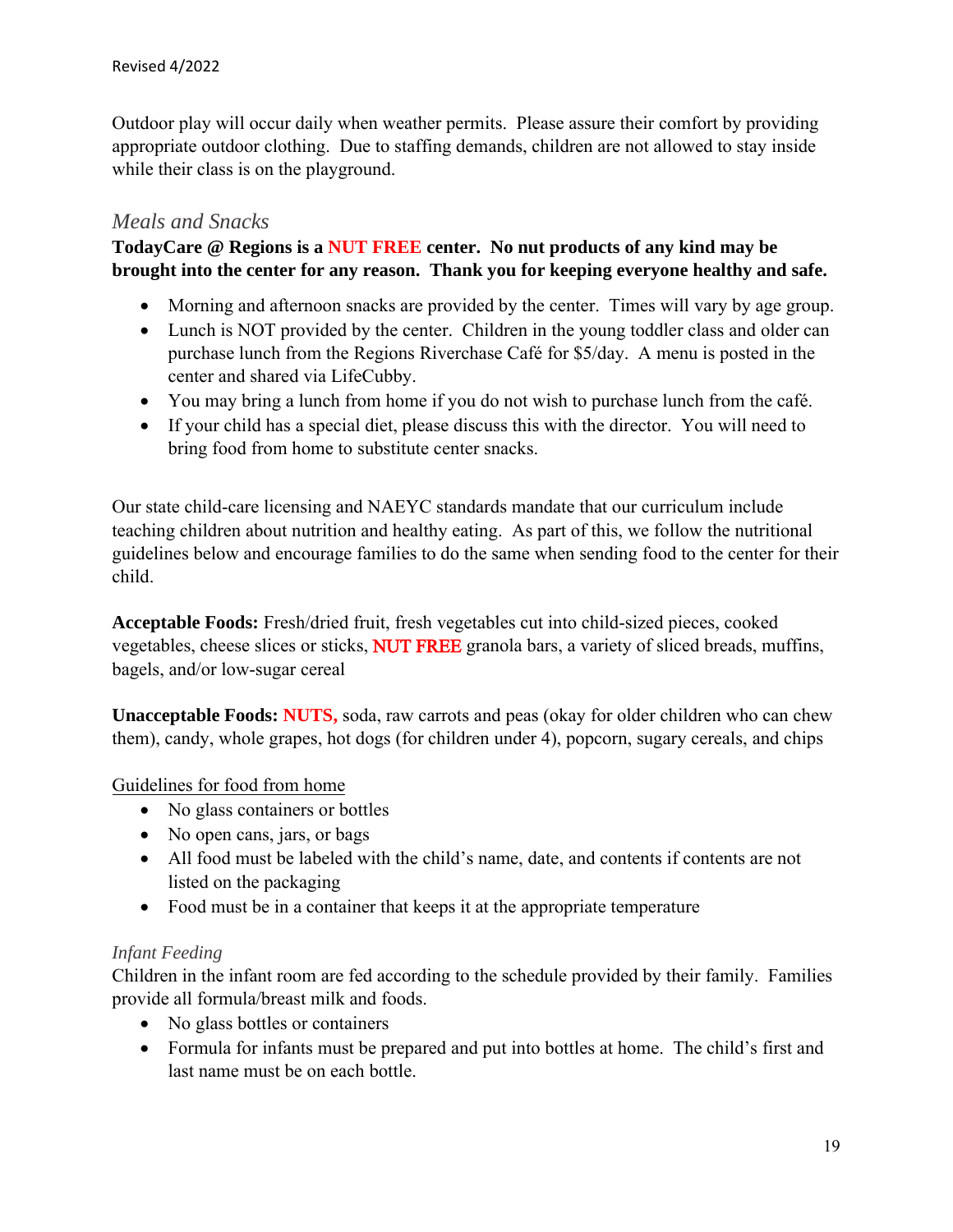Outdoor play will occur daily when weather permits. Please assure their comfort by providing appropriate outdoor clothing. Due to staffing demands, children are not allowed to stay inside while their class is on the playground.

#### *Meals and Snacks*

**TodayCare @ Regions is a NUT FREE center. No nut products of any kind may be brought into the center for any reason. Thank you for keeping everyone healthy and safe.** 

- Morning and afternoon snacks are provided by the center. Times will vary by age group.
- Lunch is NOT provided by the center. Children in the young toddler class and older can purchase lunch from the Regions Riverchase Café for \$5/day. A menu is posted in the center and shared via LifeCubby.
- You may bring a lunch from home if you do not wish to purchase lunch from the café.
- If your child has a special diet, please discuss this with the director. You will need to bring food from home to substitute center snacks.

Our state child-care licensing and NAEYC standards mandate that our curriculum include teaching children about nutrition and healthy eating. As part of this, we follow the nutritional guidelines below and encourage families to do the same when sending food to the center for their child.

**Acceptable Foods:** Fresh/dried fruit, fresh vegetables cut into child-sized pieces, cooked vegetables, cheese slices or sticks, NUT FREE granola bars, a variety of sliced breads, muffins, bagels, and/or low-sugar cereal

**Unacceptable Foods: NUTS,** soda, raw carrots and peas (okay for older children who can chew them), candy, whole grapes, hot dogs (for children under 4), popcorn, sugary cereals, and chips

Guidelines for food from home

- No glass containers or bottles
- No open cans, jars, or bags
- All food must be labeled with the child's name, date, and contents if contents are not listed on the packaging
- Food must be in a container that keeps it at the appropriate temperature

#### *Infant Feeding*

Children in the infant room are fed according to the schedule provided by their family. Families provide all formula/breast milk and foods.

- No glass bottles or containers
- Formula for infants must be prepared and put into bottles at home. The child's first and last name must be on each bottle.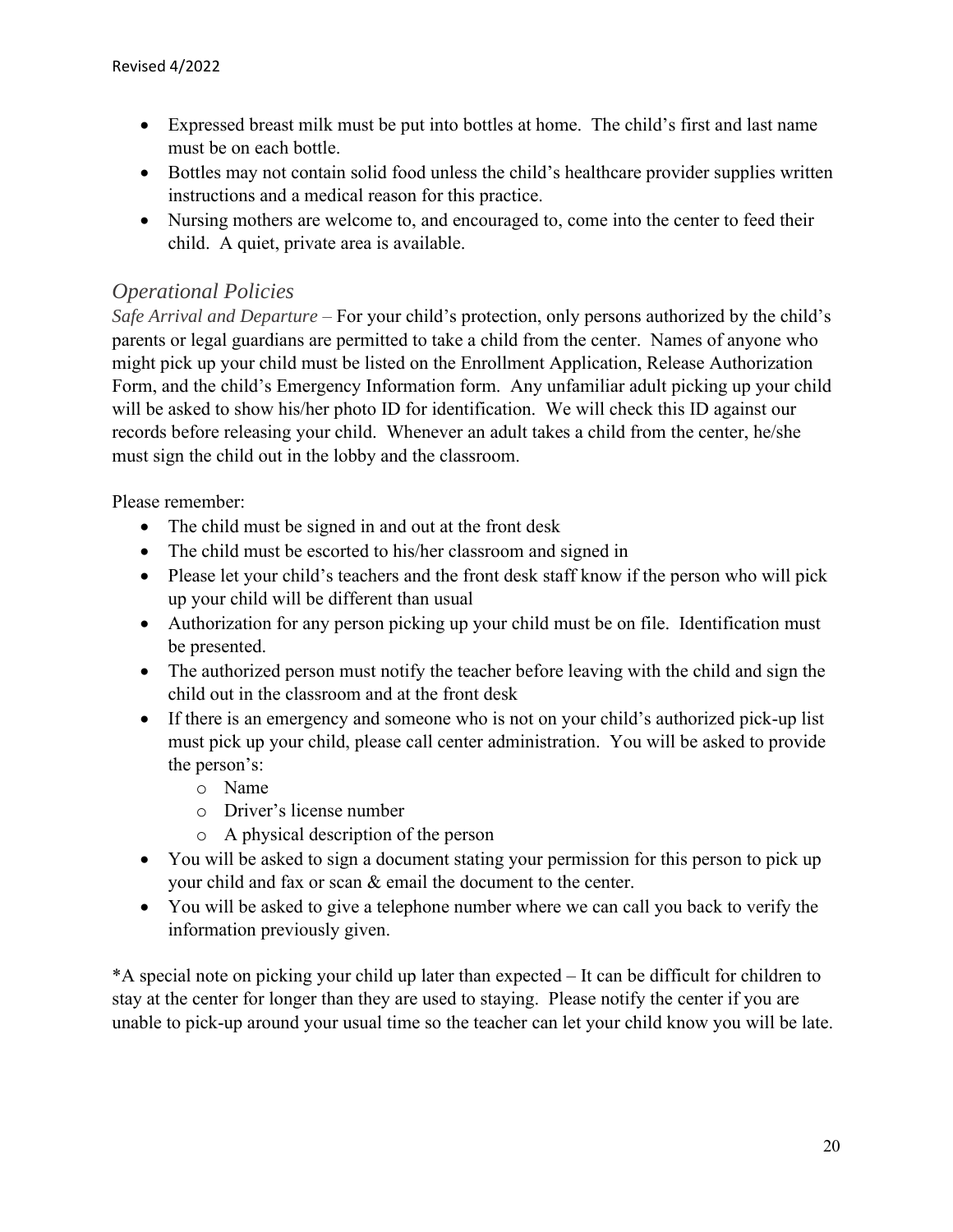- Expressed breast milk must be put into bottles at home. The child's first and last name must be on each bottle.
- Bottles may not contain solid food unless the child's healthcare provider supplies written instructions and a medical reason for this practice.
- Nursing mothers are welcome to, and encouraged to, come into the center to feed their child. A quiet, private area is available.

#### *Operational Policies*

*Safe Arrival and Departure –* For your child's protection, only persons authorized by the child's parents or legal guardians are permitted to take a child from the center. Names of anyone who might pick up your child must be listed on the Enrollment Application, Release Authorization Form, and the child's Emergency Information form. Any unfamiliar adult picking up your child will be asked to show his/her photo ID for identification. We will check this ID against our records before releasing your child. Whenever an adult takes a child from the center, he/she must sign the child out in the lobby and the classroom.

Please remember:

- The child must be signed in and out at the front desk
- The child must be escorted to his/her classroom and signed in
- Please let your child's teachers and the front desk staff know if the person who will pick up your child will be different than usual
- Authorization for any person picking up your child must be on file. Identification must be presented.
- The authorized person must notify the teacher before leaving with the child and sign the child out in the classroom and at the front desk
- If there is an emergency and someone who is not on your child's authorized pick-up list must pick up your child, please call center administration. You will be asked to provide the person's:
	- o Name
	- o Driver's license number
	- o A physical description of the person
- You will be asked to sign a document stating your permission for this person to pick up your child and fax or scan & email the document to the center.
- You will be asked to give a telephone number where we can call you back to verify the information previously given.

\*A special note on picking your child up later than expected – It can be difficult for children to stay at the center for longer than they are used to staying. Please notify the center if you are unable to pick-up around your usual time so the teacher can let your child know you will be late.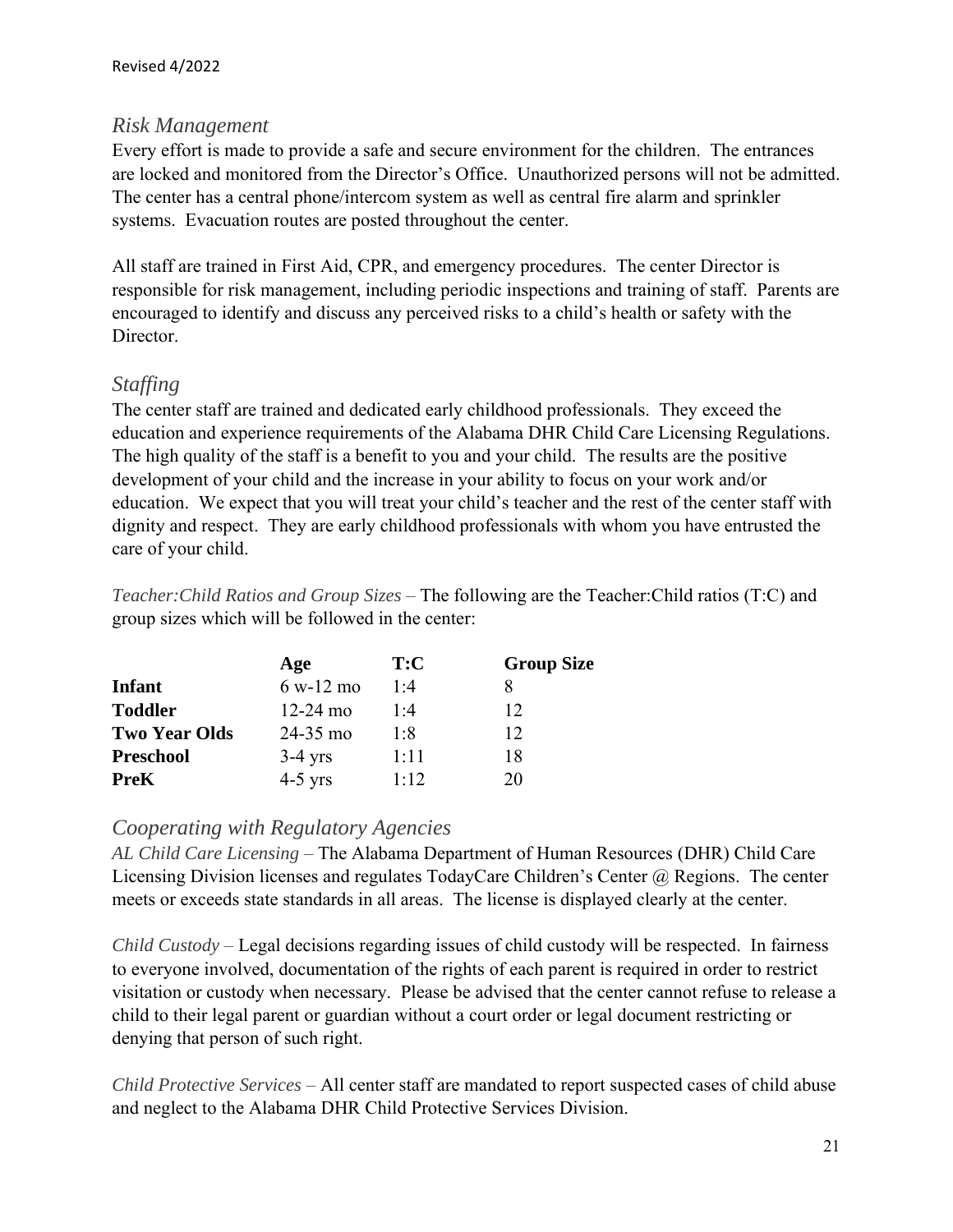#### *Risk Management*

Every effort is made to provide a safe and secure environment for the children. The entrances are locked and monitored from the Director's Office. Unauthorized persons will not be admitted. The center has a central phone/intercom system as well as central fire alarm and sprinkler systems. Evacuation routes are posted throughout the center.

All staff are trained in First Aid, CPR, and emergency procedures. The center Director is responsible for risk management, including periodic inspections and training of staff. Parents are encouraged to identify and discuss any perceived risks to a child's health or safety with the Director.

#### *Staffing*

The center staff are trained and dedicated early childhood professionals. They exceed the education and experience requirements of the Alabama DHR Child Care Licensing Regulations. The high quality of the staff is a benefit to you and your child. The results are the positive development of your child and the increase in your ability to focus on your work and/or education. We expect that you will treat your child's teacher and the rest of the center staff with dignity and respect. They are early childhood professionals with whom you have entrusted the care of your child.

*Teacher:Child Ratios and Group Sizes –* The following are the Teacher:Child ratios (T:C) and group sizes which will be followed in the center:

|                      | Age          | T:C  | <b>Group Size</b> |
|----------------------|--------------|------|-------------------|
| <b>Infant</b>        | $6 w-12 m$   | 1:4  |                   |
| <b>Toddler</b>       | $12 - 24$ mo | 1:4  | 12                |
| <b>Two Year Olds</b> | $24 - 35$ mo | 1:8  | 12                |
| <b>Preschool</b>     | $3-4$ yrs    | 1:11 | 18                |
| <b>PreK</b>          | $4-5$ yrs    | 1.12 | 20                |

#### *Cooperating with Regulatory Agencies*

*AL Child Care Licensing –* The Alabama Department of Human Resources (DHR) Child Care Licensing Division licenses and regulates TodayCare Children's Center @ Regions. The center meets or exceeds state standards in all areas. The license is displayed clearly at the center.

*Child Custody –* Legal decisions regarding issues of child custody will be respected. In fairness to everyone involved, documentation of the rights of each parent is required in order to restrict visitation or custody when necessary. Please be advised that the center cannot refuse to release a child to their legal parent or guardian without a court order or legal document restricting or denying that person of such right.

*Child Protective Services –* All center staff are mandated to report suspected cases of child abuse and neglect to the Alabama DHR Child Protective Services Division.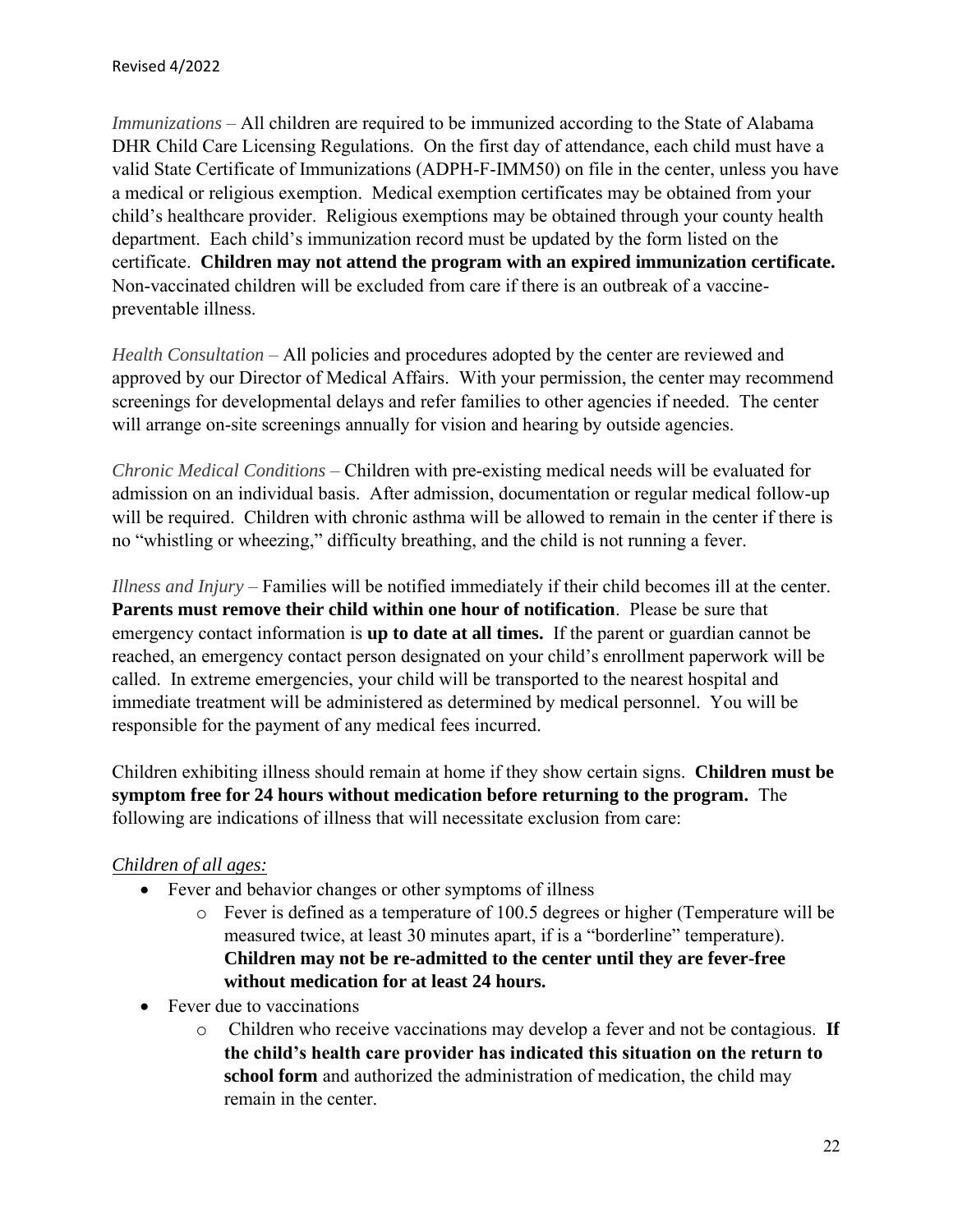*Immunizations –* All children are required to be immunized according to the State of Alabama DHR Child Care Licensing Regulations. On the first day of attendance, each child must have a valid State Certificate of Immunizations (ADPH-F-IMM50) on file in the center, unless you have a medical or religious exemption. Medical exemption certificates may be obtained from your child's healthcare provider. Religious exemptions may be obtained through your county health department. Each child's immunization record must be updated by the form listed on the certificate. **Children may not attend the program with an expired immunization certificate.** Non-vaccinated children will be excluded from care if there is an outbreak of a vaccinepreventable illness.

*Health Consultation –* All policies and procedures adopted by the center are reviewed and approved by our Director of Medical Affairs. With your permission, the center may recommend screenings for developmental delays and refer families to other agencies if needed. The center will arrange on-site screenings annually for vision and hearing by outside agencies.

*Chronic Medical Conditions –* Children with pre-existing medical needs will be evaluated for admission on an individual basis. After admission, documentation or regular medical follow-up will be required. Children with chronic asthma will be allowed to remain in the center if there is no "whistling or wheezing," difficulty breathing, and the child is not running a fever.

*Illness and Injury –* Families will be notified immediately if their child becomes ill at the center. **Parents must remove their child within one hour of notification**. Please be sure that emergency contact information is **up to date at all times.** If the parent or guardian cannot be reached, an emergency contact person designated on your child's enrollment paperwork will be called. In extreme emergencies, your child will be transported to the nearest hospital and immediate treatment will be administered as determined by medical personnel. You will be responsible for the payment of any medical fees incurred.

Children exhibiting illness should remain at home if they show certain signs. **Children must be symptom free for 24 hours without medication before returning to the program.** The following are indications of illness that will necessitate exclusion from care:

#### *Children of all ages:*

- Fever and behavior changes or other symptoms of illness
	- o Fever is defined as a temperature of 100.5 degrees or higher (Temperature will be measured twice, at least 30 minutes apart, if is a "borderline" temperature). **Children may not be re-admitted to the center until they are fever-free without medication for at least 24 hours.**
- Fever due to vaccinations
	- o Children who receive vaccinations may develop a fever and not be contagious. **If the child's health care provider has indicated this situation on the return to school form** and authorized the administration of medication, the child may remain in the center.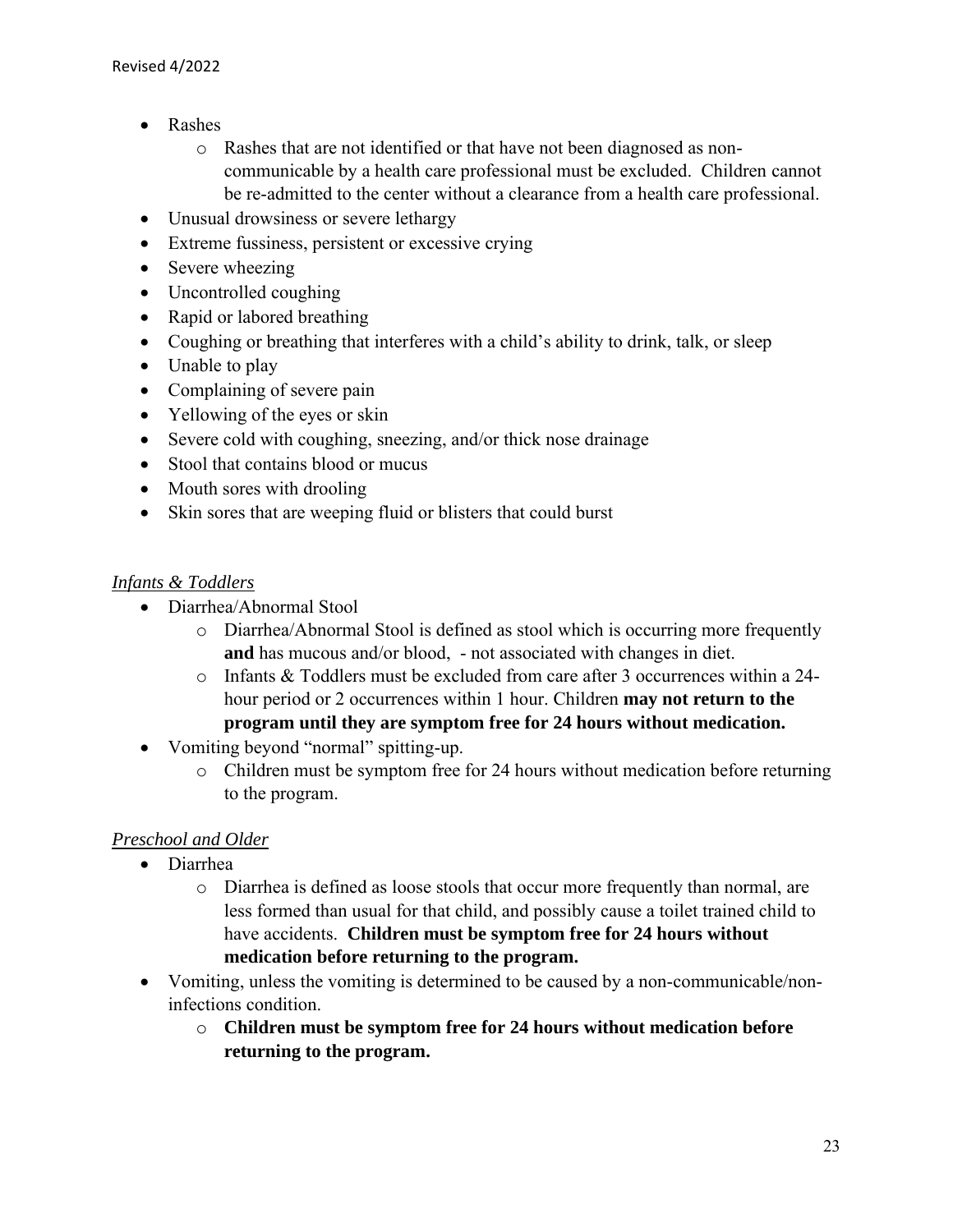- Rashes
	- o Rashes that are not identified or that have not been diagnosed as noncommunicable by a health care professional must be excluded. Children cannot be re-admitted to the center without a clearance from a health care professional.
- Unusual drowsiness or severe lethargy
- Extreme fussiness, persistent or excessive crying
- Severe wheezing
- Uncontrolled coughing
- Rapid or labored breathing
- Coughing or breathing that interferes with a child's ability to drink, talk, or sleep
- Unable to play
- Complaining of severe pain
- Yellowing of the eyes or skin
- Severe cold with coughing, sneezing, and/or thick nose drainage
- Stool that contains blood or mucus
- Mouth sores with drooling
- Skin sores that are weeping fluid or blisters that could burst

#### *Infants & Toddlers*

- Diarrhea/Abnormal Stool
	- o Diarrhea/Abnormal Stool is defined as stool which is occurring more frequently **and** has mucous and/or blood, - not associated with changes in diet.
	- o Infants & Toddlers must be excluded from care after 3 occurrences within a 24 hour period or 2 occurrences within 1 hour. Children **may not return to the program until they are symptom free for 24 hours without medication.**
- Vomiting beyond "normal" spitting-up.
	- o Children must be symptom free for 24 hours without medication before returning to the program.

#### *Preschool and Older*

- Diarrhea
	- o Diarrhea is defined as loose stools that occur more frequently than normal, are less formed than usual for that child, and possibly cause a toilet trained child to have accidents. **Children must be symptom free for 24 hours without medication before returning to the program.**
- Vomiting, unless the vomiting is determined to be caused by a non-communicable/noninfections condition.
	- o **Children must be symptom free for 24 hours without medication before returning to the program.**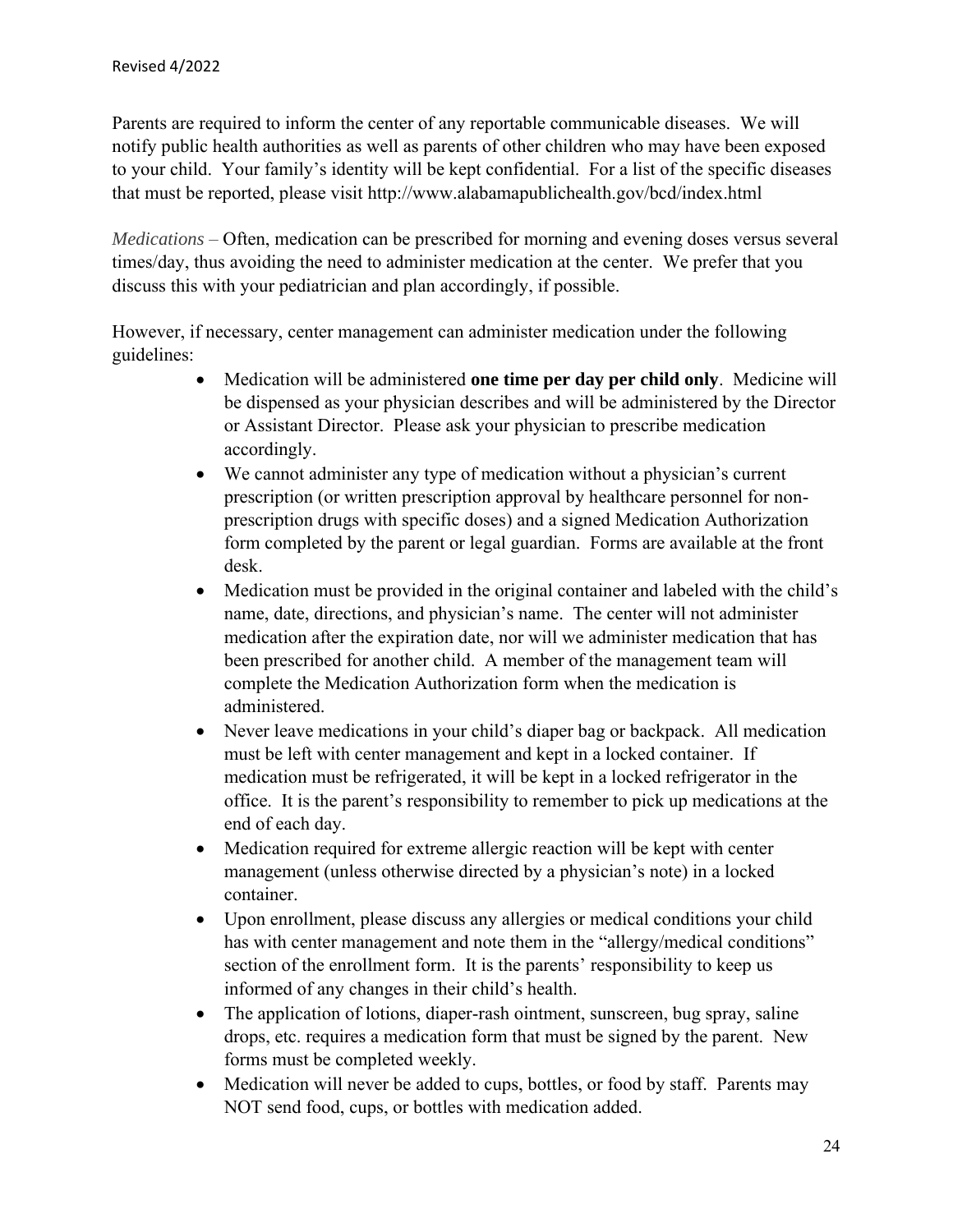Parents are required to inform the center of any reportable communicable diseases. We will notify public health authorities as well as parents of other children who may have been exposed to your child. Your family's identity will be kept confidential. For a list of the specific diseases that must be reported, please visit http://www.alabamapublichealth.gov/bcd/index.html

*Medications –* Often, medication can be prescribed for morning and evening doses versus several times/day, thus avoiding the need to administer medication at the center. We prefer that you discuss this with your pediatrician and plan accordingly, if possible.

However, if necessary, center management can administer medication under the following guidelines:

- Medication will be administered **one time per day per child only**. Medicine will be dispensed as your physician describes and will be administered by the Director or Assistant Director. Please ask your physician to prescribe medication accordingly.
- We cannot administer any type of medication without a physician's current prescription (or written prescription approval by healthcare personnel for nonprescription drugs with specific doses) and a signed Medication Authorization form completed by the parent or legal guardian. Forms are available at the front desk.
- Medication must be provided in the original container and labeled with the child's name, date, directions, and physician's name. The center will not administer medication after the expiration date, nor will we administer medication that has been prescribed for another child. A member of the management team will complete the Medication Authorization form when the medication is administered.
- Never leave medications in your child's diaper bag or backpack. All medication must be left with center management and kept in a locked container. If medication must be refrigerated, it will be kept in a locked refrigerator in the office. It is the parent's responsibility to remember to pick up medications at the end of each day.
- Medication required for extreme allergic reaction will be kept with center management (unless otherwise directed by a physician's note) in a locked container.
- Upon enrollment, please discuss any allergies or medical conditions your child has with center management and note them in the "allergy/medical conditions" section of the enrollment form. It is the parents' responsibility to keep us informed of any changes in their child's health.
- The application of lotions, diaper-rash ointment, sunscreen, bug spray, saline drops, etc. requires a medication form that must be signed by the parent. New forms must be completed weekly.
- Medication will never be added to cups, bottles, or food by staff. Parents may NOT send food, cups, or bottles with medication added.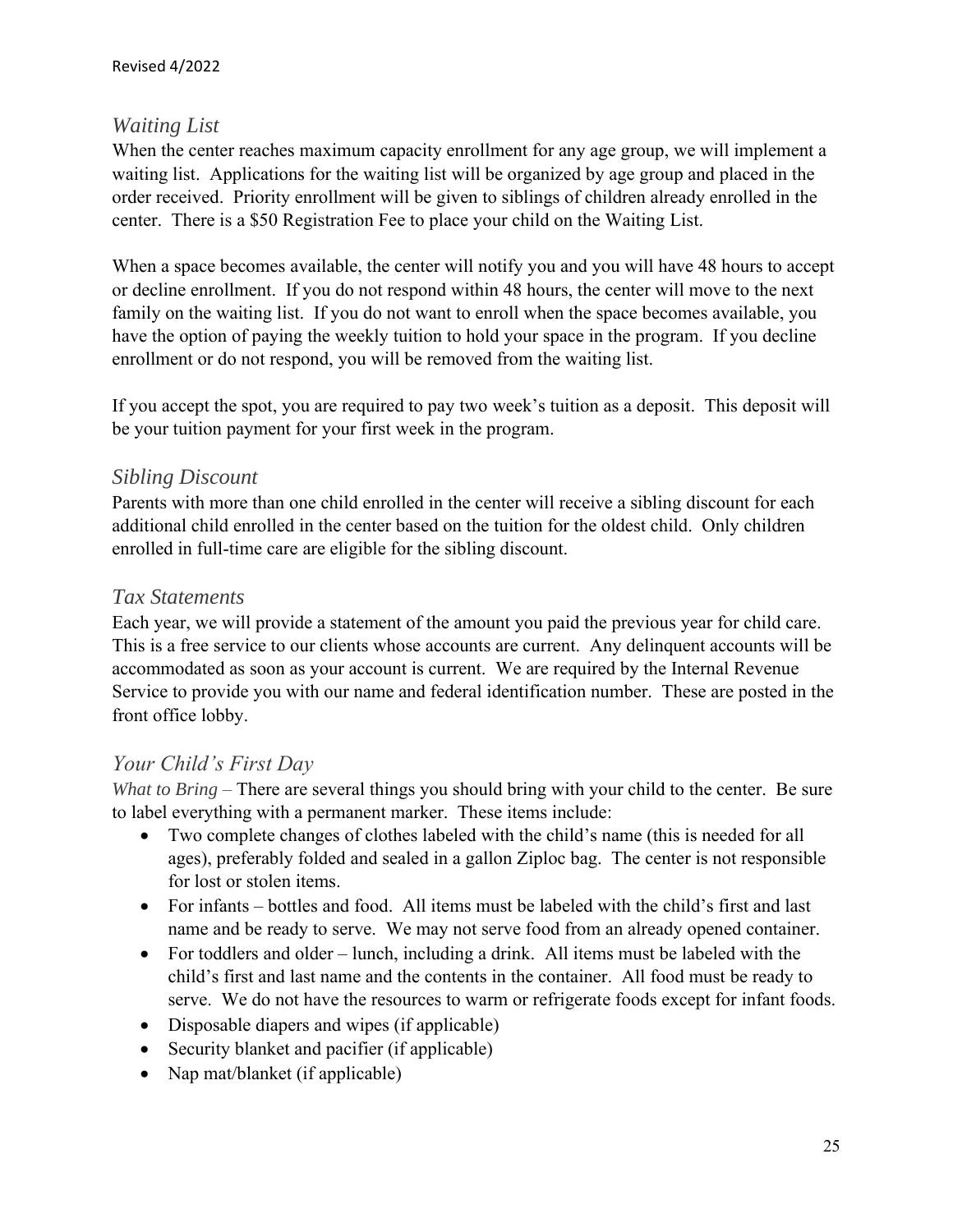#### *Waiting List*

When the center reaches maximum capacity enrollment for any age group, we will implement a waiting list. Applications for the waiting list will be organized by age group and placed in the order received. Priority enrollment will be given to siblings of children already enrolled in the center. There is a \$50 Registration Fee to place your child on the Waiting List.

When a space becomes available, the center will notify you and you will have 48 hours to accept or decline enrollment. If you do not respond within 48 hours, the center will move to the next family on the waiting list. If you do not want to enroll when the space becomes available, you have the option of paying the weekly tuition to hold your space in the program. If you decline enrollment or do not respond, you will be removed from the waiting list.

If you accept the spot, you are required to pay two week's tuition as a deposit. This deposit will be your tuition payment for your first week in the program.

#### *Sibling Discount*

Parents with more than one child enrolled in the center will receive a sibling discount for each additional child enrolled in the center based on the tuition for the oldest child. Only children enrolled in full-time care are eligible for the sibling discount.

#### *Tax Statements*

Each year, we will provide a statement of the amount you paid the previous year for child care. This is a free service to our clients whose accounts are current. Any delinquent accounts will be accommodated as soon as your account is current. We are required by the Internal Revenue Service to provide you with our name and federal identification number. These are posted in the front office lobby.

#### *Your Child's First Day*

*What to Bring –* There are several things you should bring with your child to the center. Be sure to label everything with a permanent marker. These items include:

- Two complete changes of clothes labeled with the child's name (this is needed for all ages), preferably folded and sealed in a gallon Ziploc bag. The center is not responsible for lost or stolen items.
- For infants bottles and food. All items must be labeled with the child's first and last name and be ready to serve. We may not serve food from an already opened container.
- For toddlers and older lunch, including a drink. All items must be labeled with the child's first and last name and the contents in the container. All food must be ready to serve. We do not have the resources to warm or refrigerate foods except for infant foods.
- Disposable diapers and wipes (if applicable)
- Security blanket and pacifier (if applicable)
- Nap mat/blanket (if applicable)